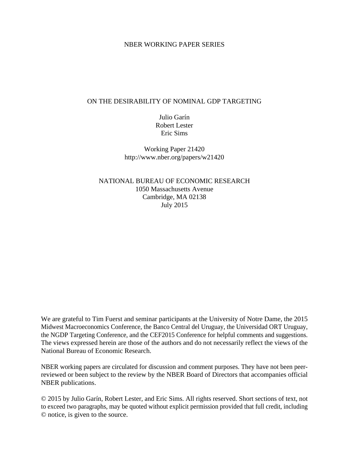#### NBER WORKING PAPER SERIES

### ON THE DESIRABILITY OF NOMINAL GDP TARGETING

Julio Garín Robert Lester Eric Sims

Working Paper 21420 http://www.nber.org/papers/w21420

NATIONAL BUREAU OF ECONOMIC RESEARCH 1050 Massachusetts Avenue Cambridge, MA 02138 July 2015

We are grateful to Tim Fuerst and seminar participants at the University of Notre Dame, the 2015 Midwest Macroeconomics Conference, the Banco Central del Uruguay, the Universidad ORT Uruguay, the NGDP Targeting Conference, and the CEF2015 Conference for helpful comments and suggestions. The views expressed herein are those of the authors and do not necessarily reflect the views of the National Bureau of Economic Research.

NBER working papers are circulated for discussion and comment purposes. They have not been peerreviewed or been subject to the review by the NBER Board of Directors that accompanies official NBER publications.

© 2015 by Julio Garín, Robert Lester, and Eric Sims. All rights reserved. Short sections of text, not to exceed two paragraphs, may be quoted without explicit permission provided that full credit, including © notice, is given to the source.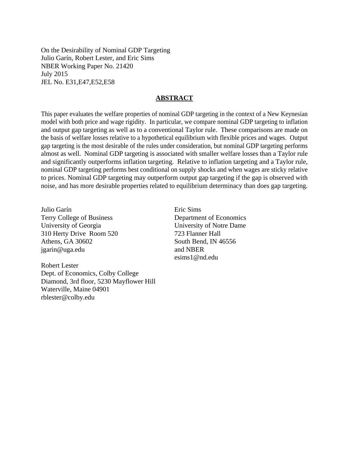On the Desirability of Nominal GDP Targeting Julio Garín, Robert Lester, and Eric Sims NBER Working Paper No. 21420 July 2015 JEL No. E31,E47,E52,E58

#### **ABSTRACT**

This paper evaluates the welfare properties of nominal GDP targeting in the context of a New Keynesian model with both price and wage rigidity. In particular, we compare nominal GDP targeting to inflation and output gap targeting as well as to a conventional Taylor rule. These comparisons are made on the basis of welfare losses relative to a hypothetical equilibrium with flexible prices and wages. Output gap targeting is the most desirable of the rules under consideration, but nominal GDP targeting performs almost as well. Nominal GDP targeting is associated with smaller welfare losses than a Taylor rule and significantly outperforms inflation targeting. Relative to inflation targeting and a Taylor rule, nominal GDP targeting performs best conditional on supply shocks and when wages are sticky relative to prices. Nominal GDP targeting may outperform output gap targeting if the gap is observed with noise, and has more desirable properties related to equilibrium determinacy than does gap targeting.

Julio Garín Terry College of Business University of Georgia 310 Herty Drive Room 520 Athens, GA 30602 jgarin@uga.edu

Robert Lester Dept. of Economics, Colby College Diamond, 3rd floor, 5230 Mayflower Hill Waterville, Maine 04901 rblester@colby.edu

Eric Sims Department of Economics University of Notre Dame 723 Flanner Hall South Bend, IN 46556 and NBER esims1@nd.edu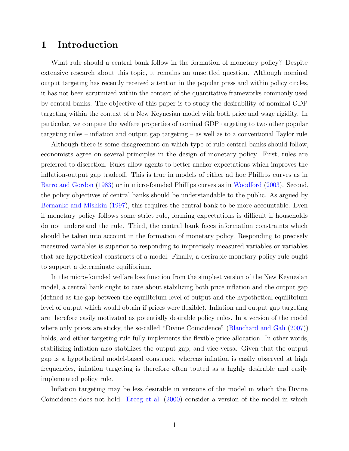# 1 Introduction

What rule should a central bank follow in the formation of monetary policy? Despite extensive research about this topic, it remains an unsettled question. Although nominal output targeting has recently received attention in the popular press and within policy circles, it has not been scrutinized within the context of the quantitative frameworks commonly used by central banks. The objective of this paper is to study the desirability of nominal GDP targeting within the context of a New Keynesian model with both price and wage rigidity. In particular, we compare the welfare properties of nominal GDP targeting to two other popular targeting rules – inflation and output gap targeting – as well as to a conventional Taylor rule.

Although there is some disagreement on which type of rule central banks should follow, economists agree on several principles in the design of monetary policy. First, rules are preferred to discretion. Rules allow agents to better anchor expectations which improves the inflation-output gap tradeoff. This is true in models of either ad hoc Phillips curves as in [Barro and Gordon](#page-32-0) [\(1983\)](#page-32-0) or in micro-founded Phillips curves as in [Woodford](#page-33-0) [\(2003\)](#page-33-0). Second, the policy objectives of central banks should be understandable to the public. As argued by [Bernanke and Mishkin](#page-32-1) [\(1997\)](#page-32-1), this requires the central bank to be more accountable. Even if monetary policy follows some strict rule, forming expectations is difficult if households do not understand the rule. Third, the central bank faces information constraints which should be taken into account in the formation of monetary policy. Responding to precisely measured variables is superior to responding to imprecisely measured variables or variables that are hypothetical constructs of a model. Finally, a desirable monetary policy rule ought to support a determinate equilibrium.

In the micro-founded welfare loss function from the simplest version of the New Keynesian model, a central bank ought to care about stabilizing both price inflation and the output gap (defined as the gap between the equilibrium level of output and the hypothetical equilibrium level of output which would obtain if prices were flexible). Inflation and output gap targeting are therefore easily motivated as potentially desirable policy rules. In a version of the model where only prices are sticky, the so-called "Divine Coincidence" [\(Blanchard and Gali](#page-32-2) [\(2007\)](#page-32-2)) holds, and either targeting rule fully implements the flexible price allocation. In other words, stabilizing inflation also stabilizes the output gap, and vice-versa. Given that the output gap is a hypothetical model-based construct, whereas inflation is easily observed at high frequencies, inflation targeting is therefore often touted as a highly desirable and easily implemented policy rule.

Inflation targeting may be less desirable in versions of the model in which the Divine Coincidence does not hold. [Erceg et al.](#page-32-3) [\(2000\)](#page-32-3) consider a version of the model in which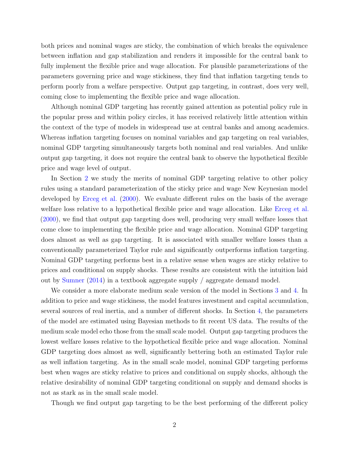both prices and nominal wages are sticky, the combination of which breaks the equivalence between inflation and gap stabilization and renders it impossible for the central bank to fully implement the flexible price and wage allocation. For plausible parameterizations of the parameters governing price and wage stickiness, they find that inflation targeting tends to perform poorly from a welfare perspective. Output gap targeting, in contrast, does very well, coming close to implementing the flexible price and wage allocation.

Although nominal GDP targeting has recently gained attention as potential policy rule in the popular press and within policy circles, it has received relatively little attention within the context of the type of models in widespread use at central banks and among academics. Whereas inflation targeting focuses on nominal variables and gap targeting on real variables, nominal GDP targeting simultaneously targets both nominal and real variables. And unlike output gap targeting, it does not require the central bank to observe the hypothetical flexible price and wage level of output.

In Section [2](#page-5-0) we study the merits of nominal GDP targeting relative to other policy rules using a standard parameterization of the sticky price and wage New Keynesian model developed by [Erceg et al.](#page-32-3) [\(2000\)](#page-32-3). We evaluate different rules on the basis of the average welfare loss relative to a hypothetical flexible price and wage allocation. Like [Erceg et al.](#page-32-3) [\(2000\)](#page-32-3), we find that output gap targeting does well, producing very small welfare losses that come close to implementing the flexible price and wage allocation. Nominal GDP targeting does almost as well as gap targeting. It is associated with smaller welfare losses than a conventionally parameterized Taylor rule and significantly outperforms inflation targeting. Nominal GDP targeting performs best in a relative sense when wages are sticky relative to prices and conditional on supply shocks. These results are consistent with the intuition laid out by [Sumner](#page-33-1) [\(2014\)](#page-33-1) in a textbook aggregate supply / aggregate demand model.

We consider a more elaborate medium scale version of the model in Sections [3](#page-16-0) and [4.](#page-20-0) In addition to price and wage stickiness, the model features investment and capital accumulation, several sources of real inertia, and a number of different shocks. In Section [4,](#page-20-0) the parameters of the model are estimated using Bayesian methods to fit recent US data. The results of the medium scale model echo those from the small scale model. Output gap targeting produces the lowest welfare losses relative to the hypothetical flexible price and wage allocation. Nominal GDP targeting does almost as well, significantly bettering both an estimated Taylor rule as well inflation targeting. As in the small scale model, nominal GDP targeting performs best when wages are sticky relative to prices and conditional on supply shocks, although the relative desirability of nominal GDP targeting conditional on supply and demand shocks is not as stark as in the small scale model.

Though we find output gap targeting to be the best performing of the different policy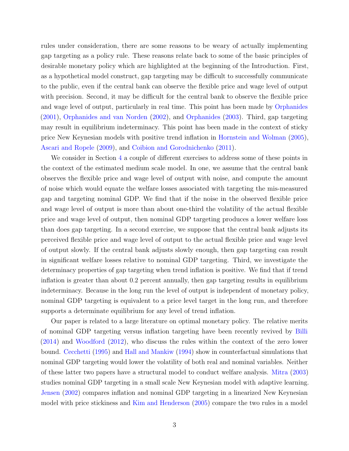rules under consideration, there are some reasons to be weary of actually implementing gap targeting as a policy rule. These reasons relate back to some of the basic principles of desirable monetary policy which are highlighted at the beginning of the Introduction. First, as a hypothetical model construct, gap targeting may be difficult to successfully communicate to the public, even if the central bank can observe the flexible price and wage level of output with precision. Second, it may be difficult for the central bank to observe the flexible price and wage level of output, particularly in real time. This point has been made by [Orphanides](#page-33-2) [\(2001\)](#page-33-2), [Orphanides and van Norden](#page-33-3) [\(2002\)](#page-33-3), and [Orphanides](#page-33-4) [\(2003\)](#page-33-4). Third, gap targeting may result in equilibrium indeterminacy. This point has been made in the context of sticky price New Keynesian models with positive trend inflation in [Hornstein and Wolman](#page-32-4) [\(2005\)](#page-32-4), [Ascari and Ropele](#page-32-5) [\(2009\)](#page-32-5), and [Coibion and Gorodnichenko](#page-32-6) [\(2011\)](#page-32-6).

We consider in Section [4](#page-20-0) a couple of different exercises to address some of these points in the context of the estimated medium scale model. In one, we assume that the central bank observes the flexible price and wage level of output with noise, and compute the amount of noise which would equate the welfare losses associated with targeting the mis-measured gap and targeting nominal GDP. We find that if the noise in the observed flexible price and wage level of output is more than about one-third the volatility of the actual flexible price and wage level of output, then nominal GDP targeting produces a lower welfare loss than does gap targeting. In a second exercise, we suppose that the central bank adjusts its perceived flexible price and wage level of output to the actual flexible price and wage level of output slowly. If the central bank adjusts slowly enough, then gap targeting can result in significant welfare losses relative to nominal GDP targeting. Third, we investigate the determinacy properties of gap targeting when trend inflation is positive. We find that if trend inflation is greater than about 0.2 percent annually, then gap targeting results in equilibrium indeterminacy. Because in the long run the level of output is independent of monetary policy, nominal GDP targeting is equivalent to a price level target in the long run, and therefore supports a determinate equilibrium for any level of trend inflation.

Our paper is related to a large literature on optimal monetary policy. The relative merits of nominal GDP targeting versus inflation targeting have been recently revived by [Billi](#page-32-7) [\(2014\)](#page-32-7) and [Woodford](#page-34-0) [\(2012\)](#page-34-0), who discuss the rules within the context of the zero lower bound. [Cecchetti](#page-32-8) [\(1995\)](#page-32-8) and [Hall and Mankiw](#page-32-9) [\(1994\)](#page-32-9) show in counterfactual simulations that nominal GDP targeting would lower the volatility of both real and nominal variables. Neither of these latter two papers have a structural model to conduct welfare analysis. [Mitra](#page-33-5) [\(2003\)](#page-33-5) studies nominal GDP targeting in a small scale New Keynesian model with adaptive learning. [Jensen](#page-33-6) [\(2002\)](#page-33-6) compares inflation and nominal GDP targeting in a linearized New Keynesian model with price stickiness and [Kim and Henderson](#page-33-7) [\(2005\)](#page-33-7) compare the two rules in a model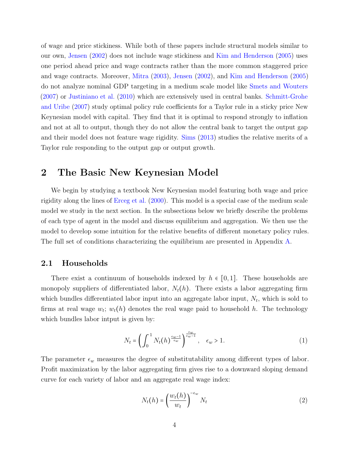of wage and price stickiness. While both of these papers include structural models similar to our own, [Jensen](#page-33-6) [\(2002\)](#page-33-6) does not include wage stickiness and [Kim and Henderson](#page-33-7) [\(2005\)](#page-33-7) uses one period ahead price and wage contracts rather than the more common staggered price and wage contracts. Moreover, [Mitra](#page-33-5) [\(2003\)](#page-33-5), [Jensen](#page-33-6) [\(2002\)](#page-33-6), and [Kim and Henderson](#page-33-7) [\(2005\)](#page-33-7) do not analyze nominal GDP targeting in a medium scale model like [Smets and Wouters](#page-33-8) [\(2007\)](#page-33-8) or [Justiniano et al.](#page-33-9) [\(2010\)](#page-33-9) which are extensively used in central banks. [Schmitt-Grohe](#page-33-10) [and Uribe](#page-33-10) [\(2007\)](#page-33-10) study optimal policy rule coefficients for a Taylor rule in a sticky price New Keynesian model with capital. They find that it is optimal to respond strongly to inflation and not at all to output, though they do not allow the central bank to target the output gap and their model does not feature wage rigidity. [Sims](#page-33-11) [\(2013\)](#page-33-11) studies the relative merits of a Taylor rule responding to the output gap or output growth.

# <span id="page-5-0"></span>2 The Basic New Keynesian Model

We begin by studying a textbook New Keynesian model featuring both wage and price rigidity along the lines of [Erceg et al.](#page-32-3) [\(2000\)](#page-32-3). This model is a special case of the medium scale model we study in the next section. In the subsections below we briefly describe the problems of each type of agent in the model and discuss equilibrium and aggregation. We then use the model to develop some intuition for the relative benefits of different monetary policy rules. The full set of conditions characterizing the equilibrium are presented in Appendix [A.](#page-35-0)

#### 2.1 Households

There exist a continuum of households indexed by  $h \in [0,1]$ . These households are monopoly suppliers of differentiated labor,  $N_t(h)$ . There exists a labor aggregating firm which bundles differentiated labor input into an aggregate labor input,  $N_t$ , which is sold to firms at real wage  $w_t$ ;  $w_t(h)$  denotes the real wage paid to household h. The technology which bundles labor intput is given by:

$$
N_t = \left(\int_0^1 N_t(h)^{\frac{\epsilon_w - 1}{\epsilon_w}}\right)^{\frac{\epsilon_w}{\epsilon_w - 1}}, \quad \epsilon_w > 1.
$$
 (1)

The parameter  $\epsilon_w$  measures the degree of substitutability among different types of labor. Profit maximization by the labor aggregating firm gives rise to a downward sloping demand curve for each variety of labor and an aggregate real wage index:

<span id="page-5-1"></span>
$$
N_t(h) = \left(\frac{w_t(h)}{w_t}\right)^{-\epsilon_w} N_t \tag{2}
$$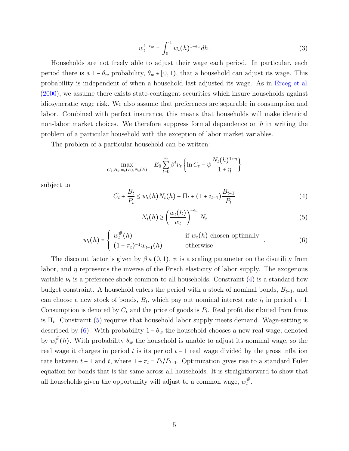<span id="page-6-3"></span>
$$
w_t^{1-\epsilon_w} = \int_0^1 w_t(h)^{1-\epsilon_w} dh.
$$
\n(3)

Households are not freely able to adjust their wage each period. In particular, each period there is a  $1 - \theta_w$  probability,  $\theta_w \in [0, 1)$ , that a household can adjust its wage. This probability is independent of when a household last adjusted its wage. As in [Erceg et al.](#page-32-3) [\(2000\)](#page-32-3), we assume there exists state-contingent securities which insure households against idiosyncratic wage risk. We also assume that preferences are separable in consumption and labor. Combined with perfect insurance, this means that households will make identical non-labor market choices. We therefore suppress formal dependence on  $h$  in writing the problem of a particular household with the exception of labor market variables.

The problem of a particular household can be written:

$$
\max_{C_t, B_t, w_t(h), N_t(h)} E_0 \sum_{t=0}^{\infty} \beta^t \nu_t \left\{ \ln C_t - \psi \frac{N_t(h)^{1+\eta}}{1+\eta} \right\}
$$

subject to

<span id="page-6-0"></span>
$$
C_t + \frac{B_t}{P_t} \le w_t(h)N_t(h) + \Pi_t + (1 + i_{t-1})\frac{B_{t-1}}{P_t}
$$
\n(4)

<span id="page-6-1"></span>
$$
N_t(h) \ge \left(\frac{w_t(h)}{w_t}\right)^{-\epsilon_w} N_t \tag{5}
$$

<span id="page-6-2"></span>
$$
w_t(h) = \begin{cases} w_t^{\#}(h) & \text{if } w_t(h) \text{ chosen optimally} \\ (1 + \pi_t)^{-1} w_{t-1}(h) & \text{otherwise} \end{cases}
$$
 (6)

The discount factor is given by  $\beta \in (0,1)$ ,  $\psi$  is a scaling parameter on the disutility from labor, and  $\eta$  represents the inverse of the Frisch elasticity of labor supply. The exogenous variable  $\nu_t$  is a preference shock common to all households. Constraint [\(4\)](#page-6-0) is a standard flow budget constraint. A household enters the period with a stock of nominal bonds,  $B_{t-1}$ , and can choose a new stock of bonds,  $B_t$ , which pay out nominal interest rate  $i_t$  in period  $t + 1$ . Consumption is denoted by  $C_t$  and the price of goods is  $P_t$ . Real profit distributed from firms is  $\Pi_t$ . Constraint [\(5\)](#page-6-1) requires that household labor supply meets demand. Wage-setting is described by [\(6\)](#page-6-2). With probability  $1 - \theta_w$  the household chooses a new real wage, denoted by  $w_t^{\#}$  $t^*(h)$ . With probability  $\theta_w$  the household is unable to adjust its nominal wage, so the real wage it charges in period t is its period  $t - 1$  real wage divided by the gross inflation rate between  $t - 1$  and  $t$ , where  $1 + \pi_t = P_t/P_{t-1}$ . Optimization gives rise to a standard Euler equation for bonds that is the same across all households. It is straightforward to show that all households given the opportunity will adjust to a common wage,  $w_t^{\#}$  $_t^{\#}.$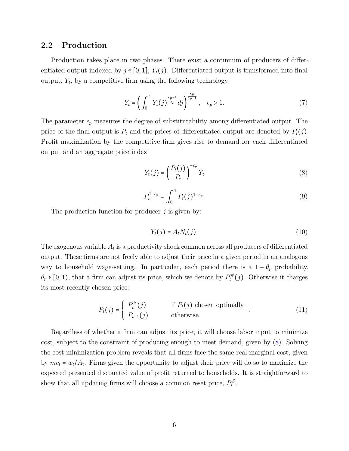### 2.2 Production

Production takes place in two phases. There exist a continuum of producers of differentiated output indexed by  $j \in [0,1], Y_t(j)$ . Differentiated output is transformed into final output,  $Y_t$ , by a competitive firm using the following technology:

<span id="page-7-1"></span>
$$
Y_t = \left(\int_0^1 Y_t(j)^{\frac{\epsilon_p - 1}{\epsilon_p}} dj\right)^{\frac{\epsilon_p}{\epsilon_p - 1}}, \quad \epsilon_p > 1. \tag{7}
$$

The parameter  $\epsilon_p$  measures the degree of substitutability among differentiated output. The price of the final output is  $P_t$  and the prices of differentiated output are denoted by  $P_t(j)$ . Profit maximization by the competitive firm gives rise to demand for each differentiated output and an aggregate price index:

<span id="page-7-0"></span>
$$
Y_t(j) = \left(\frac{P_t(j)}{P_t}\right)^{-\epsilon_p} Y_t \tag{8}
$$

<span id="page-7-2"></span>
$$
P_t^{1-\epsilon_p} = \int_0^1 P_t(j)^{1-\epsilon_p}.
$$
\n(9)

The production function for producer  $j$  is given by:

$$
Y_t(j) = A_t N_t(j). \tag{10}
$$

The exogenous variable  $A_t$  is a productivity shock common across all producers of differentiated output. These firms are not freely able to adjust their price in a given period in an analogous way to household wage-setting. In particular, each period there is a  $1 - \theta_p$  probability,  $\theta_p \in [0, 1)$ , that a firm can adjust its price, which we denote by  $P_t^{\#}$  $t_t^{\#}(j)$ . Otherwise it charges its most recently chosen price:

$$
P_t(j) = \begin{cases} P_t^{\#}(j) & \text{if } P_t(j) \text{ chosen optimally} \\ P_{t-1}(j) & \text{otherwise} \end{cases}
$$
 (11)

Regardless of whether a firm can adjust its price, it will choose labor input to minimize cost, subject to the constraint of producing enough to meet demand, given by [\(8\)](#page-7-0). Solving the cost minimization problem reveals that all firms face the same real marginal cost, given by  $mc_t = w_t/A_t$ . Firms given the opportunity to adjust their price will do so to maximize the expected presented discounted value of profit returned to households. It is straightforward to show that all updating firms will choose a common reset price,  $P_t^{\#}$  $\stackrel{\scriptstyle \#}{\scriptstyle t}$  .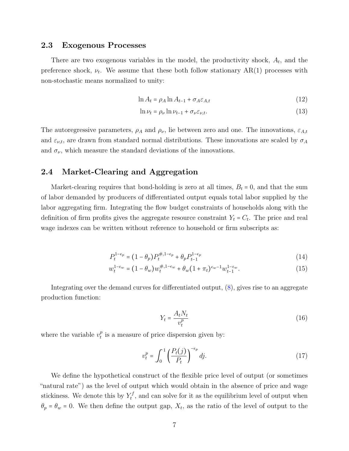### 2.3 Exogenous Processes

There are two exogenous variables in the model, the productivity shock,  $A_t$ , and the preference shock,  $\nu_t$ . We assume that these both follow stationary AR(1) processes with non-stochastic means normalized to unity:

$$
\ln A_t = \rho_A \ln A_{t-1} + \sigma_A \varepsilon_{A,t} \tag{12}
$$

$$
\ln \nu_t = \rho_\nu \ln \nu_{t-1} + \sigma_\nu \varepsilon_{\nu,t}.\tag{13}
$$

The autoregressive parameters,  $\rho_A$  and  $\rho_\nu$ , lie between zero and one. The innovations,  $\varepsilon_{A,t}$ and  $\varepsilon_{\nu,t}$ , are drawn from standard normal distributions. These innovations are scaled by  $\sigma_A$ and  $\sigma_{\nu}$ , which measure the standard deviations of the innovations.

### 2.4 Market-Clearing and Aggregation

Market-clearing requires that bond-holding is zero at all times,  $B_t = 0$ , and that the sum of labor demanded by producers of differentiated output equals total labor supplied by the labor aggregating firm. Integrating the flow budget constraints of households along with the definition of firm profits gives the aggregate resource constraint  $Y_t = C_t$ . The price and real wage indexes can be written without reference to household or firm subscripts as:

$$
P_t^{1-\epsilon_p} = (1-\theta_p)P_t^{\#,1-\epsilon_p} + \theta_p P_{t-1}^{1-\epsilon_p} \tag{14}
$$

$$
w_t^{1-\epsilon_w} = (1-\theta_w)w_t^{\#,1-\epsilon_w} + \theta_w(1+\pi_t)^{\epsilon_w-1}w_{t-1}^{1-\epsilon_w}.
$$
 (15)

Integrating over the demand curves for differentiated output, [\(8\)](#page-7-0), gives rise to an aggregate production function:

$$
Y_t = \frac{A_t N_t}{v_t^p} \tag{16}
$$

where the variable  $v_t^p$  $t<sub>t</sub><sup>p</sup>$  is a measure of price dispersion given by:

<span id="page-8-0"></span>
$$
v_t^p = \int_0^1 \left(\frac{P_t(j)}{P_t}\right)^{-\epsilon_p} dj. \tag{17}
$$

We define the hypothetical construct of the flexible price level of output (or sometimes "natural rate") as the level of output which would obtain in the absence of price and wage stickiness. We denote this by  $Y_t^f$  $t<sub>t</sub><sup>t</sup>$ , and can solve for it as the equilibrium level of output when  $\theta_p = \theta_w = 0$ . We then define the output gap,  $X_t$ , as the ratio of the level of output to the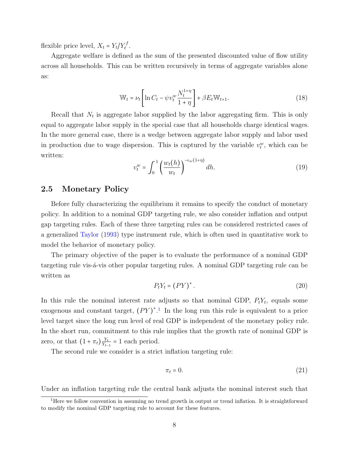flexible price level,  $X_t = Y_t/Y_t^f$  $_t^f$  .

Aggregate welfare is defined as the sum of the presented discounted value of flow utility across all households. This can be written recursively in terms of aggregate variables alone as:

$$
\mathbb{W}_t = \nu_t \left[ \ln C_t - \psi v_t^w \frac{N_t^{1+\eta}}{1+\eta} \right] + \beta E_t \mathbb{W}_{t+1}.
$$
\n(18)

Recall that  $N_t$  is aggregate labor supplied by the labor aggregating firm. This is only equal to aggregate labor supply in the special case that all households charge identical wages. In the more general case, there is a wedge between aggregate labor supply and labor used in production due to wage dispersion. This is captured by the variable  $v_t^w$ , which can be written:

<span id="page-9-1"></span>
$$
v_t^w = \int_0^1 \left(\frac{w_t(h)}{w_t}\right)^{-\epsilon_w(1+\eta)} dh. \tag{19}
$$

#### 2.5 Monetary Policy

Before fully characterizing the equilibrium it remains to specify the conduct of monetary policy. In addition to a nominal GDP targeting rule, we also consider inflation and output gap targeting rules. Each of these three targeting rules can be considered restricted cases of a generalized [Taylor](#page-33-12) [\(1993\)](#page-33-12) type instrument rule, which is often used in quantitative work to model the behavior of monetary policy.

The primary objective of the paper is to evaluate the performance of a nominal GDP targeting rule vis- $\acute{a}$ -vis other popular targeting rules. A nominal GDP targeting rule can be written as

$$
P_t Y_t = (PY)^* \tag{20}
$$

In this rule the nominal interest rate adjusts so that nominal GDP,  $P_tY_t$ , equals some exogenous and constant target,  $(PY)^*$ <sup>[1](#page-9-0)</sup>. In the long run this rule is equivalent to a price level target since the long run level of real GDP is independent of the monetary policy rule. In the short run, commitment to this rule implies that the growth rate of nominal GDP is zero, or that  $(1 + \pi_t) \frac{Y_t}{Y_{t-1}}$  $\frac{Y_t}{Y_{t-1}} = 1$  each period.

The second rule we consider is a strict inflation targeting rule:

$$
\pi_t = 0. \tag{21}
$$

Under an inflation targeting rule the central bank adjusts the nominal interest such that

<span id="page-9-0"></span><sup>&</sup>lt;sup>1</sup>Here we follow convention in assuming no trend growth in output or trend inflation. It is straightforward to modify the nominal GDP targeting rule to account for these features.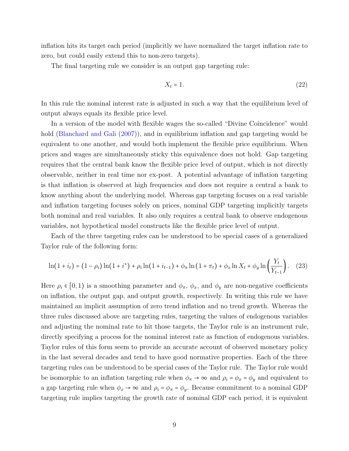inflation hits its target each period (implicitly we have normalized the target inflation rate to zero, but could easily extend this to non-zero targets).

The final targeting rule we consider is an output gap targeting rule:

$$
X_t = 1.\t\t(22)
$$

In this rule the nominal interest rate is adjusted in such a way that the equilibrium level of output always equals its flexible price level.

In a version of the model with flexible wages the so-called "Divine Coincidence" would hold [\(Blanchard and Gali](#page-32-2) [\(2007\)](#page-32-2)), and in equilibrium inflation and gap targeting would be equivalent to one another, and would both implement the flexible price equilibrium. When prices and wages are simultaneously sticky this equivalence does not hold. Gap targeting requires that the central bank know the flexible price level of output, which is not directly observable, neither in real time nor ex-post. A potential advantage of inflation targeting is that inflation is observed at high frequencies and does not require a central a bank to know anything about the underlying model. Whereas gap targeting focuses on a real variable and inflation targeting focuses solely on prices, nominal GDP targeting implicitly targets both nominal and real variables. It also only requires a central bank to observe endogenous variables, not hypothetical model constructs like the flexible price level of output.

Each of the three targeting rules can be understood to be special cases of a generalized Taylor rule of the following form:

<span id="page-10-0"></span>
$$
\ln(1+i_t) = (1-\rho_i)\ln(1+i^*) + \rho_i\ln(1+i_{t-1}) + \phi_\pi\ln(1+\pi_t) + \phi_x\ln X_t + \phi_y\ln\left(\frac{Y_t}{Y_{t-1}}\right). \tag{23}
$$

Here  $\rho_i \in [0, 1)$  is a smoothing parameter and  $\phi_{\pi}$ ,  $\phi_x$ , and  $\phi_y$  are non-negative coefficients on inflation, the output gap, and output growth, respectively. In writing this rule we have maintained an implicit assumption of zero trend inflation and no trend growth. Whereas the three rules discussed above are targeting rules, targeting the values of endogenous variables and adjusting the nominal rate to hit those targets, the Taylor rule is an instrument rule, directly specifying a process for the nominal interest rate as function of endogenous variables. Taylor rules of this form seem to provide an accurate account of observed monetary policy in the last several decades and tend to have good normative properties. Each of the three targeting rules can be understood to be special cases of the Taylor rule. The Taylor rule would be isomorphic to an inflation targeting rule when  $\phi_{\pi} \to \infty$  and  $\rho_i = \phi_x = \phi_y$  and equivalent to a gap targeting rule when  $\phi_x \to \infty$  and  $\rho_i = \phi_\pi = \phi_y$ . Because commitment to a nominal GDP targeting rule implies targeting the growth rate of nominal GDP each period, it is equivalent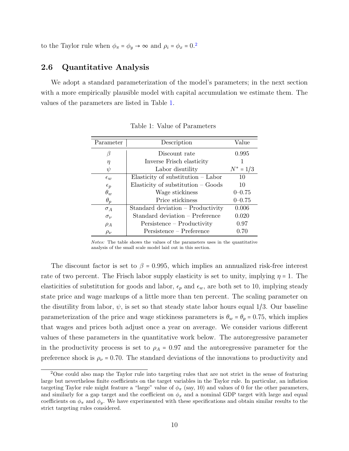to the Taylor rule when  $\phi_{\pi} = \phi_y \rightarrow \infty$  and  $\rho_i = \phi_x = 0.2$  $\rho_i = \phi_x = 0.2$ 

### 2.6 Quantitative Analysis

<span id="page-11-1"></span>We adopt a standard parameterization of the model's parameters; in the next section with a more empirically plausible model with capital accumulation we estimate them. The values of the parameters are listed in Table [1.](#page-11-1)

| Parameter          | Description                          | Value       |
|--------------------|--------------------------------------|-------------|
|                    | Discount rate                        | 0.995       |
| η                  | Inverse Frisch elasticity            |             |
| $\psi$             | Labor disutility                     | $N^* = 1/3$ |
| $\epsilon_{\rm m}$ | Elasticity of substitution $-$ Labor | 10          |
| $\epsilon_p$       | Elasticity of substitution $-$ Goods | 10          |
| $\theta_w$         | Wage stickiness                      | $0 - 0.75$  |
| $\theta_p$         | Price stickiness                     | $0 - 0.75$  |
| $\sigma_A$         | Standard deviation – Productivity    | 0.006       |
| $\sigma_{\nu}$     | Standard deviation – Preference      | 0.020       |
| $\rho_A$           | Persistence – Productivity           | 0.97        |
| $\rho_\nu$         | Persistence – Preference             | 0.70        |

Table 1: Value of Parameters

Notes: The table shows the values of the parameters uses in the quantitative analysis of the small scale model laid out in this section.

The discount factor is set to  $\beta$  = 0.995, which implies an annualized risk-free interest rate of two percent. The Frisch labor supply elasticity is set to unity, implying  $\eta = 1$ . The elasticities of substitution for goods and labor,  $\epsilon_p$  and  $\epsilon_w$ , are both set to 10, implying steady state price and wage markups of a little more than ten percent. The scaling parameter on the disutility from labor,  $\psi$ , is set so that steady state labor hours equal 1/3. Our baseline parameterization of the price and wage stickiness parameters is  $\theta_w = \theta_p = 0.75$ , which implies that wages and prices both adjust once a year on average. We consider various different values of these parameters in the quantitative work below. The autoregressive parameter in the productivity process is set to  $\rho_A = 0.97$  and the autoregressive parameter for the preference shock is  $\rho_{\nu} = 0.70$ . The standard deviations of the innovations to productivity and

<span id="page-11-0"></span><sup>&</sup>lt;sup>2</sup>One could also map the Taylor rule into targeting rules that are not strict in the sense of featuring large but nevertheless finite coefficients on the target variables in the Taylor rule. In particular, an inflation targeting Taylor rule might feature a "large" value of  $\phi_{\pi}$  (say, 10) and values of 0 for the other parameters, and similarly for a gap target and the coefficient on  $\phi_x$  and a nominal GDP target with large and equal coefficients on  $\phi_{\pi}$  and  $\phi_{y}$ . We have experimented with these specifications and obtain similar results to the strict targeting rules considered.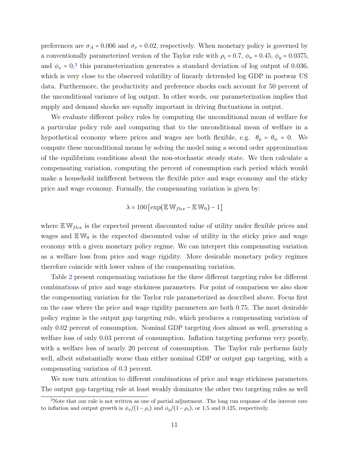preferences are  $\sigma_A = 0.006$  and  $\sigma_{\nu} = 0.02$ , respectively. When monetary policy is governed by a conventionally parameterized version of the Taylor rule with  $\rho_i = 0.7$ ,  $\phi_\pi = 0.45$ ,  $\phi_y = 0.0375$ , and  $\phi_x = 0.3$  $\phi_x = 0.3$  this parameterization generates a standard deviation of log output of 0.036, which is very close to the observed volatility of linearly detrended log GDP in postwar US data. Furthermore, the productivity and preference shocks each account for 50 percent of the unconditional variance of log output. In other words, our parameterization implies that supply and demand shocks are equally important in driving fluctuations in output.

We evaluate different policy rules by computing the unconditional mean of welfare for a particular policy rule and comparing that to the unconditional mean of welfare in a hypothetical economy where prices and wages are both flexible, e.g.  $\theta_p = \theta_w = 0$ . We compute these unconditional means by solving the model using a second order approximation of the equilibrium conditions about the non-stochastic steady state. We then calculate a compensating variation, computing the percent of consumption each period which would make a household indifferent between the flexible price and wage economy and the sticky price and wage economy. Formally, the compensating variation is given by:

$$
\lambda = 100 \left[ \exp\left(\mathbb{E} \mathbb{W}_{flex} - \mathbb{E} \mathbb{W}_0\right) - 1 \right]
$$

where  $E W_{flex}$  is the expected present discounted value of utility under flexible prices and wages and  $\mathbb{E} \mathbb{W}_0$  is the expected discounted value of utility in the sticky price and wage economy with a given monetary policy regime. We can interpret this compensating variation as a welfare loss from price and wage rigidity. More desirable monetary policy regimes therefore coincide with lower values of the compensating variation.

Table [2](#page-13-0) present compensating variations for the three different targeting rules for different combinations of price and wage stickiness parameters. For point of comparison we also show the compensating variation for the Taylor rule parameterized as described above. Focus first on the case where the price and wage rigidity parameters are both 0.75. The most desirable policy regime is the output gap targeting rule, which produces a compensating variation of only 0.02 percent of consumption. Nominal GDP targeting does almost as well, generating a welfare loss of only 0.03 percent of consumption. Inflation targeting performs very poorly, with a welfare loss of nearly 20 percent of consumption. The Taylor rule performs fairly well, albeit substantially worse than either nominal GDP or output gap targeting, with a compensating variation of 0.3 percent.

We now turn attention to different combinations of price and wage stickiness parameters. The output gap targeting rule at least weakly dominates the other two targeting rules as well

<span id="page-12-0"></span><sup>&</sup>lt;sup>3</sup>Note that our rule is not written as one of partial adjustment. The long run response of the interest rate to inflation and output growth is  $\phi_{\pi}/(1-\rho_i)$  and  $\phi_y/(1-\rho_i)$ , or 1.5 and 0.125, respectively.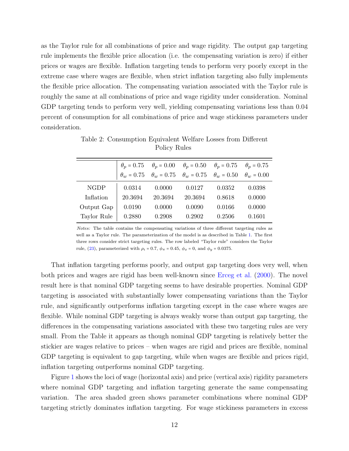as the Taylor rule for all combinations of price and wage rigidity. The output gap targeting rule implements the flexible price allocation (i.e. the compensating variation is zero) if either prices or wages are flexible. Inflation targeting tends to perform very poorly except in the extreme case where wages are flexible, when strict inflation targeting also fully implements the flexible price allocation. The compensating variation associated with the Taylor rule is roughly the same at all combinations of price and wage rigidity under consideration. Nominal GDP targeting tends to perform very well, yielding compensating variations less than 0.04 percent of consumption for all combinations of price and wage stickiness parameters under consideration.

|             |         | $\theta_p = 0.75$ $\theta_p = 0.00$ |         | $\theta_p = 0.50$ $\theta_p = 0.75$ $\theta_p = 0.75$<br>$\theta_w=0.75 \hspace{0.5cm} \theta_w=0.75 \hspace{0.5cm} \theta_w=0.75 \hspace{0.5cm} \theta_w=0.75 \hspace{0.5cm} \theta_w=0.50 \hspace{0.5cm} \theta_w=0.00$ |        |
|-------------|---------|-------------------------------------|---------|---------------------------------------------------------------------------------------------------------------------------------------------------------------------------------------------------------------------------|--------|
| <b>NGDP</b> | 0.0314  | 0.0000                              | 0.0127  | 0.0352                                                                                                                                                                                                                    | 0.0398 |
| Inflation   | 20.3694 | 20.3694                             | 20.3694 | 0.8618                                                                                                                                                                                                                    | 0.0000 |
| Output Gap  | 0.0190  | 0.0000                              | 0.0090  | 0.0166                                                                                                                                                                                                                    | 0.0000 |
| Taylor Rule | 0.2880  | 0.2908                              | 0.2902  | 0.2506                                                                                                                                                                                                                    | 0.1601 |

<span id="page-13-0"></span>Table 2: Consumption Equivalent Welfare Losses from Different Policy Rules

Notes: The table contains the compensating variations of three different targeting rules as well as a Taylor rule. The parameterization of the model is as described in Table [1.](#page-11-1) The first three rows consider strict targeting rules. The row labeled "Taylor rule" considers the Taylor rule, [\(23\)](#page-10-0), parameterized with  $\rho_i = 0.7$ ,  $\phi_{\pi} = 0.45$ ,  $\phi_{\pi} = 0$ , and  $\phi_{\pi} = 0.0375$ .

That inflation targeting performs poorly, and output gap targeting does very well, when both prices and wages are rigid has been well-known since [Erceg et al.](#page-32-3) [\(2000\)](#page-32-3). The novel result here is that nominal GDP targeting seems to have desirable properties. Nominal GDP targeting is associated with substantially lower compensating variations than the Taylor rule, and significantly outperforms inflation targeting except in the case where wages are flexible. While nominal GDP targeting is always weakly worse than output gap targeting, the differences in the compensating variations associated with these two targeting rules are very small. From the Table it appears as though nominal GDP targeting is relatively better the stickier are wages relative to prices – when wages are rigid and prices are flexible, nominal GDP targeting is equivalent to gap targeting, while when wages are flexible and prices rigid, inflation targeting outperforms nominal GDP targeting.

Figure [1](#page-14-0) shows the loci of wage (horizontal axis) and price (vertical axis) rigidity parameters where nominal GDP targeting and inflation targeting generate the same compensating variation. The area shaded green shows parameter combinations where nominal GDP targeting strictly dominates inflation targeting. For wage stickiness parameters in excess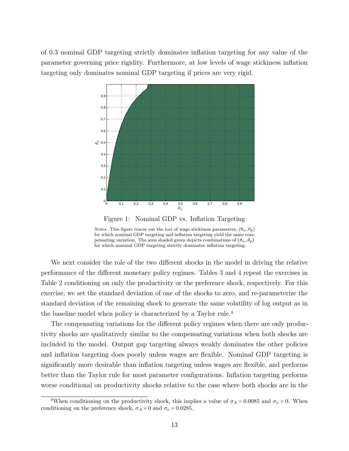<span id="page-14-0"></span>of 0.3 nominal GDP targeting strictly dominates inflation targeting for any value of the parameter governing price rigidity. Furthermore, at low levels of wage stickiness inflation targeting only dominates nominal GDP targeting if prices are very rigid.



Figure 1: Nominal GDP vs. Inflation Targeting

*Notes:* This figure traces out the loci of wage stickiness parameters,  $(\theta_w, \theta_p)$ for which nominal GDP targeting and inflation targeting yield the same compensating variation. The area shaded green depicts combinations of  $(\theta_w, \theta_p)$ for which nominal GDP targeting strictly dominates inflation targeting.

We next consider the role of the two different shocks in the model in driving the relative performance of the different monetary policy regimes. Tables [3](#page-15-0) and [4](#page-16-1) repeat the exercises in Table [2](#page-13-0) conditioning on only the productivity or the preference shock, respectively. For this exercise, we set the standard deviation of one of the shocks to zero, and re-parameterize the standard deviation of the remaining shock to generate the same volatility of log output as in the baseline model when policy is characterized by a Taylor rule.[4](#page-14-1)

The compensating variations for the different policy regimes when there are only productivity shocks are qualitatively similar to the compensating variations when both shocks are included in the model. Output gap targeting always weakly dominates the other policies and inflation targeting does poorly unless wages are flexible. Nominal GDP targeting is significantly more desirable than inflation targeting unless wages are flexible, and performs better than the Taylor rule for most parameter configurations. Inflation targeting performs worse conditional on productivity shocks relative to the case where both shocks are in the

<span id="page-14-1"></span><sup>&</sup>lt;sup>4</sup>When conditioning on the productivity shock, this implies a value of  $\sigma_A = 0.0085$  and  $\sigma_\nu = 0$ . When conditioning on the preference shock,  $\sigma_A = 0$  and  $\sigma_\nu = 0.0285$ .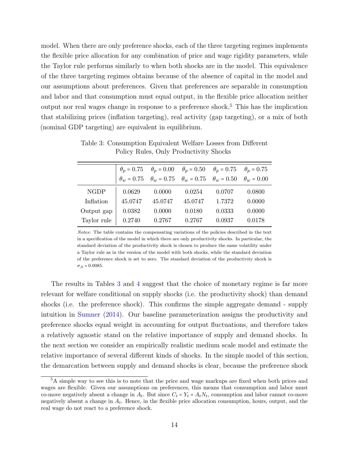model. When there are only preference shocks, each of the three targeting regimes implements the flexible price allocation for any combination of price and wage rigidity parameters, while the Taylor rule performs similarly to when both shocks are in the model. This equivalence of the three targeting regimes obtains because of the absence of capital in the model and our assumptions about preferences. Given that preferences are separable in consumption and labor and that consumption must equal output, in the flexible price allocation neither output nor real wages change in response to a preference shock.[5](#page-15-1) This has the implication that stabilizing prices (inflation targeting), real activity (gap targeting), or a mix of both (nominal GDP targeting) are equivalent in equilibrium.

|             |         | $\theta_p = 0.75$ $\theta_p = 0.00$ $\theta_p = 0.50$ $\theta_p = 0.75$ $\theta_p = 0.75$<br>$\theta_w = 0.75$ $\theta_w = 0.75$ $\theta_w = 0.75$ $\theta_w = 0.50$ $\theta_w = 0.00$ |         |        |        |
|-------------|---------|----------------------------------------------------------------------------------------------------------------------------------------------------------------------------------------|---------|--------|--------|
| <b>NGDP</b> | 0.0629  | 0.0000                                                                                                                                                                                 | 0.0254  | 0.0707 | 0.0800 |
| Inflation   | 45.0747 | 45.0747                                                                                                                                                                                | 45.0747 | 1.7372 | 0.0000 |
| Output gap  | 0.0382  | 0.0000                                                                                                                                                                                 | 0.0180  | 0.0333 | 0.0000 |
| Taylor rule | 0.2740  | 0.2767                                                                                                                                                                                 | 0.2767  | 0.0937 | 0.0178 |

<span id="page-15-0"></span>Table 3: Consumption Equivalent Welfare Losses from Different Policy Rules, Only Productivity Shocks

Notes: The table contains the compensating variations of the policies described in the text in a specification of the model in which there are only productivity shocks. In particular, the standard deviation of the productivity shock is chosen to produce the same volatility under a Taylor rule as in the version of the model with both shocks, while the standard deviation of the preference shock is set to zero. The standard deviation of the productivity shock is  $\sigma_A = 0.0085$ .

The results in Tables [3](#page-15-0) and [4](#page-16-1) suggest that the choice of monetary regime is far more relevant for welfare conditional on supply shocks (i.e. the productivity shock) than demand shocks (i.e. the preference shock). This confirms the simple aggregate demand - supply intuition in [Sumner](#page-33-1) [\(2014\)](#page-33-1). Our baseline parameterization assigns the productivity and preference shocks equal weight in accounting for output fluctuations, and therefore takes a relatively agnostic stand on the relative importance of supply and demand shocks. In the next section we consider an empirically realistic medium scale model and estimate the relative importance of several different kinds of shocks. In the simple model of this section, the demarcation between supply and demand shocks is clear, because the preference shock

<span id="page-15-1"></span><sup>5</sup>A simple way to see this is to note that the price and wage markups are fixed when both prices and wages are flexible. Given our assumptions on preferences, this means that consumption and labor must co-move negatively absent a change in  $A_t$ . But since  $C_t = Y_t = A_t N_t$ , consumption and labor cannot co-move negatively absent a change in  $A_t$ . Hence, in the flexible price allocation consumption, hours, output, and the real wage do not react to a preference shock.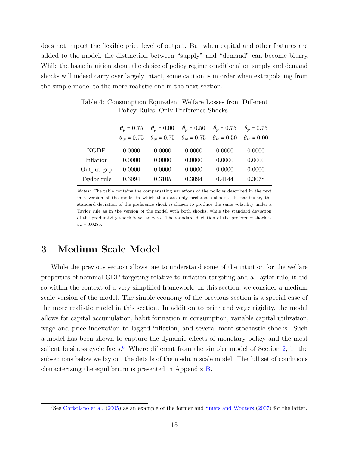does not impact the flexible price level of output. But when capital and other features are added to the model, the distinction between "supply" and "demand" can become blurry. While the basic intuition about the choice of policy regime conditional on supply and demand shocks will indeed carry over largely intact, some caution is in order when extrapolating from the simple model to the more realistic one in the next section.

|             |        |        |        | $\theta_p = 0.75$ $\theta_p = 0.00$ $\theta_p = 0.50$ $\theta_p = 0.75$ $\theta_p = 0.75$<br>$\theta_w = 0.75$ $\theta_w = 0.75$ $\theta_w = 0.75$ $\theta_w = 0.50$ $\theta_w = 0.00$ |        |
|-------------|--------|--------|--------|----------------------------------------------------------------------------------------------------------------------------------------------------------------------------------------|--------|
| <b>NGDP</b> | 0.0000 | 0.0000 | 0.0000 | 0.0000                                                                                                                                                                                 | 0.0000 |
| Inflation   | 0.0000 | 0.0000 | 0.0000 | 0.0000                                                                                                                                                                                 | 0.0000 |
| Output gap  | 0.0000 | 0.0000 | 0.0000 | 0.0000                                                                                                                                                                                 | 0.0000 |
| Taylor rule | 0.3094 | 0.3105 | 0.3094 | 0.4144                                                                                                                                                                                 | 0.3078 |

<span id="page-16-1"></span>Table 4: Consumption Equivalent Welfare Losses from Different Policy Rules, Only Preference Shocks

Notes: The table contains the compensating variations of the policies described in the text in a version of the model in which there are only preference shocks. In particular, the standard deviation of the preference shock is chosen to produce the same volatility under a Taylor rule as in the version of the model with both shocks, while the standard deviation of the productivity shock is set to zero. The standard deviation of the preference shock is  $\sigma_{\nu} = 0.0285$ .

# <span id="page-16-0"></span>3 Medium Scale Model

While the previous section allows one to understand some of the intuition for the welfare properties of nominal GDP targeting relative to inflation targeting and a Taylor rule, it did so within the context of a very simplified framework. In this section, we consider a medium scale version of the model. The simple economy of the previous section is a special case of the more realistic model in this section. In addition to price and wage rigidity, the model allows for capital accumulation, habit formation in consumption, variable capital utilization, wage and price indexation to lagged inflation, and several more stochastic shocks. Such a model has been shown to capture the dynamic effects of monetary policy and the most salient business cycle facts.<sup>[6](#page-16-2)</sup> Where different from the simpler model of Section [2,](#page-5-0) in the subsections below we lay out the details of the medium scale model. The full set of conditions characterizing the equilibrium is presented in Appendix [B.](#page-36-0)

<span id="page-16-2"></span><sup>6</sup>See [Christiano et al.](#page-32-10) [\(2005\)](#page-32-10) as an example of the former and [Smets and Wouters](#page-33-8) [\(2007\)](#page-33-8) for the latter.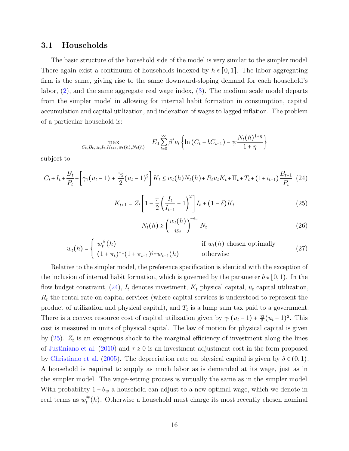#### 3.1 Households

The basic structure of the household side of the model is very similar to the simpler model. There again exist a continuum of households indexed by  $h \in [0,1]$ . The labor aggregating firm is the same, giving rise to the same downward-sloping demand for each household's labor, [\(2\)](#page-5-1), and the same aggregate real wage index, [\(3\)](#page-6-3). The medium scale model departs from the simpler model in allowing for internal habit formation in consumption, capital accumulation and capital utilization, and indexation of wages to lagged inflation. The problem of a particular household is:

$$
\max_{C_t, B_t, u_t, I_t, K_{t+1}, w_t(h), N_t(h)} \quad E_0 \sum_{t=0}^{\infty} \beta^t \nu_t \left\{ \ln \left( C_t - b C_{t-1} \right) - \psi \frac{N_t(h)^{1+\eta}}{1+\eta} \right\}
$$

subject to

<span id="page-17-0"></span>
$$
C_t + I_t + \frac{B_t}{P_t} + \left[ \gamma_1 (u_t - 1) + \frac{\gamma_2}{2} (u_t - 1)^2 \right] K_t \leq w_t(h) N_t(h) + R_t u_t K_t + \Pi_t + T_t + (1 + i_{t-1}) \frac{B_{t-1}}{P_t} \tag{24}
$$

<span id="page-17-1"></span>
$$
K_{t+1} = Z_t \left[ 1 - \frac{\tau}{2} \left( \frac{I_t}{I_{t-1}} - 1 \right)^2 \right] I_t + (1 - \delta) K_t \tag{25}
$$

$$
N_t(h) \ge \left(\frac{w_t(h)}{w_t}\right)^{-\epsilon_w} N_t \tag{26}
$$

$$
w_t(h) = \begin{cases} w_t^{\#}(h) & \text{if } w_t(h) \text{ chosen optimally} \\ (1 + \pi_t)^{-1}(1 + \pi_{t-1})^{\zeta_w} w_{t-1}(h) & \text{otherwise} \end{cases}
$$
 (27)

Relative to the simpler model, the preference specification is identical with the exception of the inclusion of internal habit formation, which is governed by the parameter  $b \in (0, 1)$ . In the flow budget constraint,  $(24)$ ,  $I_t$  denotes investment,  $K_t$  physical capital,  $u_t$  capital utilization,  $R_t$  the rental rate on capital services (where capital services is understood to represent the product of utilization and physical capital), and  $T_t$  is a lump sum tax paid to a government. There is a convex resource cost of capital utilization given by  $\gamma_1(u_t-1) + \frac{\gamma_2}{2}$  $\frac{\gamma_2}{2}(u_t - 1)^2$ . This cost is measured in units of physical capital. The law of motion for physical capital is given by  $(25)$ .  $Z_t$  is an exogenous shock to the marginal efficiency of investment along the lines of [Justiniano et al.](#page-33-9) [\(2010\)](#page-33-9) and  $\tau \geq 0$  is an investment adjustment cost in the form proposed by [Christiano et al.](#page-32-10) [\(2005\)](#page-32-10). The depreciation rate on physical capital is given by  $\delta \in (0,1)$ . A household is required to supply as much labor as is demanded at its wage, just as in the simpler model. The wage-setting process is virtually the same as in the simpler model. With probability  $1 - \theta_w$  a household can adjust to a new optimal wage, which we denote in real terms as  $w_t^{\#}$  $\hat{t}^{\#}(h)$ . Otherwise a household must charge its most recently chosen nominal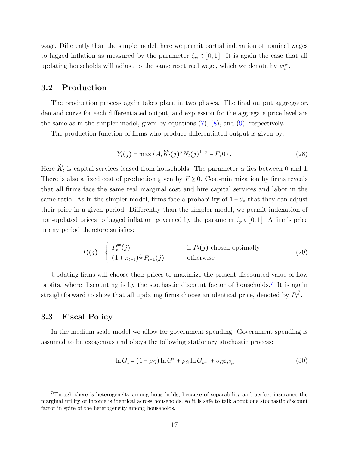wage. Differently than the simple model, here we permit partial indexation of nominal wages to lagged inflation as measured by the parameter  $\zeta_w \in [0,1]$ . It is again the case that all updating households will adjust to the same reset real wage, which we denote by  $w_t^{\#}$  $_t^{\#}.$ 

### 3.2 Production

The production process again takes place in two phases. The final output aggregator, demand curve for each differentiated output, and expression for the aggregate price level are the same as in the simpler model, given by equations [\(7\)](#page-7-1), [\(8\)](#page-7-0), and [\(9\)](#page-7-2), respectively.

The production function of firms who produce differentiated output is given by:

$$
Y_t(j) = \max\left\{A_t \widehat{K}_t(j)^{\alpha} N_t(j)^{1-\alpha} - F, 0\right\}.
$$
 (28)

Here  $\widehat{K}_t$  is capital services leased from households. The parameter  $\alpha$  lies between 0 and 1. There is also a fixed cost of production given by  $F \geq 0$ . Cost-minimization by firms reveals that all firms face the same real marginal cost and hire capital services and labor in the same ratio. As in the simpler model, firms face a probability of  $1 - \theta_p$  that they can adjust their price in a given period. Differently than the simpler model, we permit indexation of non-updated prices to lagged inflation, governed by the parameter  $\zeta_p \in [0,1]$ . A firm's price in any period therefore satisfies:

$$
P_t(j) = \begin{cases} P_t^{\#}(j) & \text{if } P_t(j) \text{ chosen optimally} \\ (1 + \pi_{t-1})^{\zeta_p} P_{t-1}(j) & \text{otherwise} \end{cases}
$$
 (29)

Updating firms will choose their prices to maximize the present discounted value of flow profits, where discounting is by the stochastic discount factor of households.[7](#page-18-0) It is again straightforward to show that all updating firms choose an identical price, denoted by  $P_t^{\#}$  $\stackrel{\scriptstyle\#}{\scriptstyle t}$  .

#### 3.3 Fiscal Policy

In the medium scale model we allow for government spending. Government spending is assumed to be exogenous and obeys the following stationary stochastic process:

$$
\ln G_t = (1 - \rho_G) \ln G^* + \rho_G \ln G_{t-1} + \sigma_G \varepsilon_{G,t} \tag{30}
$$

<span id="page-18-0"></span><sup>&</sup>lt;sup>7</sup>Though there is heterogeneity among households, because of separability and perfect insurance the marginal utility of income is identical across households, so it is safe to talk about one stochastic discount factor in spite of the heterogeneity among households.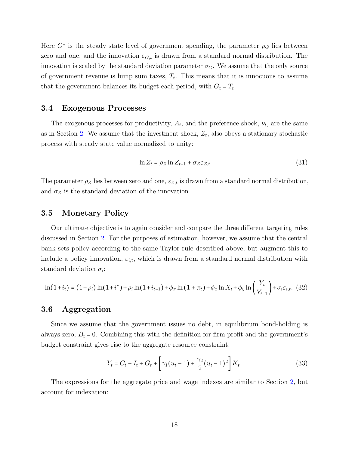Here  $G^*$  is the steady state level of government spending, the parameter  $\rho_G$  lies between zero and one, and the innovation  $\varepsilon_{G,t}$  is drawn from a standard normal distribution. The innovation is scaled by the standard deviation parameter  $\sigma_G$ . We assume that the only source of government revenue is lump sum taxes,  $T_t$ . This means that it is innocuous to assume that the government balances its budget each period, with  $G_t = T_t$ .

#### 3.4 Exogenous Processes

The exogenous processes for productivity,  $A_t$ , and the preference shock,  $\nu_t$ , are the same as in Section [2.](#page-5-0) We assume that the investment shock,  $Z_t$ , also obeys a stationary stochastic process with steady state value normalized to unity:

$$
\ln Z_t = \rho_Z \ln Z_{t-1} + \sigma_Z \varepsilon_{Z,t} \tag{31}
$$

The parameter  $\rho_Z$  lies between zero and one,  $\varepsilon_{Z,t}$  is drawn from a standard normal distribution, and  $\sigma_Z$  is the standard deviation of the innovation.

### 3.5 Monetary Policy

Our ultimate objective is to again consider and compare the three different targeting rules discussed in Section [2.](#page-5-0) For the purposes of estimation, however, we assume that the central bank sets policy according to the same Taylor rule described above, but augment this to include a policy innovation,  $\varepsilon_{i,t}$ , which is drawn from a standard normal distribution with standard deviation  $\sigma_i$ :

$$
\ln(1+i_t) = (1-\rho_i)\ln(1+i^*) + \rho_i\ln(1+i_{t-1}) + \phi_\pi\ln(1+\pi_t) + \phi_x\ln X_t + \phi_y\ln\left(\frac{Y_t}{Y_{t-1}}\right) + \sigma_i\varepsilon_{i,t}.\tag{32}
$$

#### 3.6 Aggregation

Since we assume that the government issues no debt, in equilibrium bond-holding is always zero,  $B_t = 0$ . Combining this with the definition for firm profit and the government's budget constraint gives rise to the aggregate resource constraint:

$$
Y_t = C_t + I_t + G_t + \left[\gamma_1(u_t - 1) + \frac{\gamma_2}{2}(u_t - 1)^2\right]K_t.
$$
 (33)

The expressions for the aggregate price and wage indexes are similar to Section [2,](#page-5-0) but account for indexation: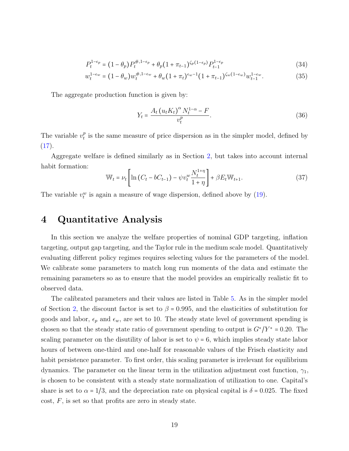$$
P_t^{1-\epsilon_p} = (1-\theta_p)P_t^{\#,1-\epsilon_p} + \theta_p(1+\pi_{t-1})^{\zeta_p(1-\epsilon_p)}P_{t-1}^{1-\epsilon_p}
$$
\n(34)

$$
w_t^{1-\epsilon_w} = (1-\theta_w)w_t^{\#,1-\epsilon_w} + \theta_w(1+\pi_t)^{\epsilon_w-1}(1+\pi_{t-1})^{\zeta_w(1-\epsilon_w)}w_{t-1}^{1-\epsilon_w}.
$$
 (35)

The aggregate production function is given by:

$$
Y_t = \frac{A_t \left(u_t K_t\right)^\alpha N_t^{1-\alpha} - F}{v_t^p}.\tag{36}
$$

The variable  $v_t^p$  $_t^p$  is the same measure of price dispersion as in the simpler model, defined by  $(17).$  $(17).$ 

Aggregate welfare is defined similarly as in Section [2,](#page-5-0) but takes into account internal habit formation:

$$
\mathbb{W}_{t} = \nu_{t} \left[ \ln \left( C_{t} - b C_{t-1} \right) - \psi v_{t}^{w} \frac{N_{t}^{1+\eta}}{1+\eta} \right] + \beta E_{t} \mathbb{W}_{t+1}.
$$
 (37)

The variable  $v_t^w$  is again a measure of wage dispersion, defined above by [\(19\)](#page-9-1).

# <span id="page-20-0"></span>4 Quantitative Analysis

In this section we analyze the welfare properties of nominal GDP targeting, inflation targeting, output gap targeting, and the Taylor rule in the medium scale model. Quantitatively evaluating different policy regimes requires selecting values for the parameters of the model. We calibrate some parameters to match long run moments of the data and estimate the remaining parameters so as to ensure that the model provides an empirically realistic fit to observed data.

The calibrated parameters and their values are listed in Table [5.](#page-21-0) As in the simpler model of Section [2,](#page-5-0) the discount factor is set to  $\beta$  = 0.995, and the elasticities of substitution for goods and labor,  $\epsilon_p$  and  $\epsilon_w$ , are set to 10. The steady state level of government spending is chosen so that the steady state ratio of government spending to output is  $G^*/Y^* = 0.20$ . The scaling parameter on the disutility of labor is set to  $\psi = 6$ , which implies steady state labor hours of between one-third and one-half for reasonable values of the Frisch elasticity and habit persistence parameter. To first order, this scaling parameter is irrelevant for equilibrium dynamics. The parameter on the linear term in the utilization adjustment cost function,  $\gamma_1$ , is chosen to be consistent with a steady state normalization of utilization to one. Capital's share is set to  $\alpha = 1/3$ , and the depreciation rate on physical capital is  $\delta = 0.025$ . The fixed cost,  $F$ , is set so that profits are zero in steady state.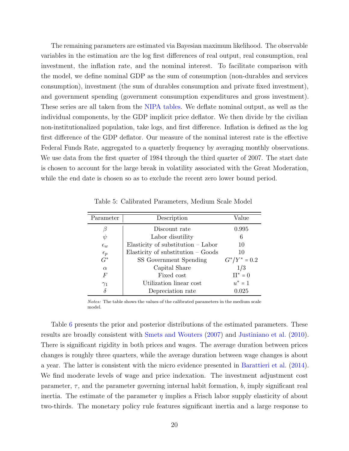The remaining parameters are estimated via Bayesian maximum likelihood. The observable variables in the estimation are the log first differences of real output, real consumption, real investment, the inflation rate, and the nominal interest. To facilitate comparison with the model, we define nominal GDP as the sum of consumption (non-durables and services consumption), investment (the sum of durables consumption and private fixed investment), and government spending (government consumption expenditures and gross investment). These series are all taken from the [NIPA tables.](http://www.bea.gov/iTable/index_nipa.cfm) We deflate nominal output, as well as the individual components, by the GDP implicit price deflator. We then divide by the civilian non-institutionalized population, take logs, and first difference. Inflation is defined as the log first difference of the GDP deflator. Our measure of the nominal interest rate is the effective Federal Funds Rate, aggregated to a quarterly frequency by averaging monthly observations. We use data from the first quarter of 1984 through the third quarter of 2007. The start date is chosen to account for the large break in volatility associated with the Great Moderation, while the end date is chosen so as to exclude the recent zero lower bound period.

<span id="page-21-0"></span>

| Parameter    | Description                          | Value           |
|--------------|--------------------------------------|-----------------|
|              | Discount rate                        | 0.995           |
| $\psi$       | Labor disutility                     | 6               |
| $\epsilon_w$ | Elasticity of substitution $-$ Labor | 10              |
| $\epsilon_p$ | Elasticity of substitution $-$ Goods | 10              |
| $G^*$        | SS Government Spending               | $G^*/Y^* = 0.2$ |
| $\alpha$     | Capital Share                        | 1/3             |
| F            | Fixed cost                           | $\Pi^* = 0$     |
| $\gamma_1$   | Utilization linear cost              | $u^* = 1$       |
|              | Depreciation rate                    | 0.025           |

Table 5: Calibrated Parameters, Medium Scale Model

Notes: The table shows the values of the calibrated parameters in the medium scale model.

Table [6](#page-22-0) presents the prior and posterior distributions of the estimated parameters. These results are broadly consistent with [Smets and Wouters](#page-33-8) [\(2007\)](#page-33-8) and [Justiniano et al.](#page-33-9) [\(2010\)](#page-33-9). There is significant rigidity in both prices and wages. The average duration between prices changes is roughly three quarters, while the average duration between wage changes is about a year. The latter is consistent with the micro evidence presented in [Barattieri et al.](#page-32-11) [\(2014\)](#page-32-11). We find moderate levels of wage and price indexation. The investment adjustment cost parameter,  $\tau$ , and the parameter governing internal habit formation, b, imply significant real inertia. The estimate of the parameter  $\eta$  implies a Frisch labor supply elasticity of about two-thirds. The monetary policy rule features significant inertia and a large response to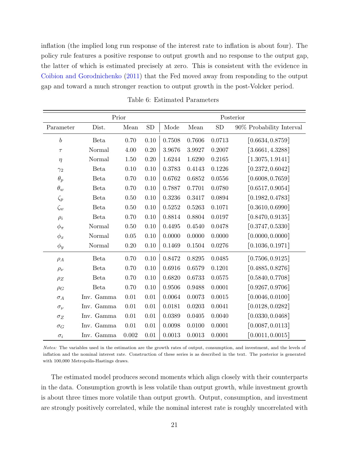inflation (the implied long run response of the interest rate to inflation is about four). The policy rule features a positive response to output growth and no response to the output gap, the latter of which is estimated precisely at zero. This is consistent with the evidence in [Coibion and Gorodnichenko](#page-32-6) [\(2011\)](#page-32-6) that the Fed moved away from responding to the output gap and toward a much stronger reaction to output growth in the post-Volcker period.

<span id="page-22-0"></span>

| Prior            |             |              |           |        | Posterior    |        |                          |
|------------------|-------------|--------------|-----------|--------|--------------|--------|--------------------------|
| Parameter        | Dist.       | ${\it Mean}$ | <b>SD</b> | Mode   | ${\it Mean}$ | SD     | 90% Probability Interval |
| $\boldsymbol{b}$ | <b>Beta</b> | 0.70         | 0.10      | 0.7508 | 0.7606       | 0.0713 | [0.6634, 0.8759]         |
| $\tau$           | Normal      | 4.00         | 0.20      | 3.9676 | 3.9927       | 0.2007 | [3.6661, 4.3288]         |
| $\eta$           | Normal      | 1.50         | $0.20\,$  | 1.6244 | 1.6290       | 0.2165 | [1.3075, 1.9141]         |
| $\gamma_2$       | Beta        | 0.10         | 0.10      | 0.3783 | 0.4143       | 0.1226 | [0.2372, 0.6042]         |
| $\theta_p$       | Beta        | 0.70         | 0.10      | 0.6762 | 0.6852       | 0.0556 | [0.6008, 0.7659]         |
| $\theta_w$       | <b>Beta</b> | 0.70         | 0.10      | 0.7887 | 0.7701       | 0.0780 | [0.6517, 0.9054]         |
| $\zeta_p$        | <b>Beta</b> | 0.50         | 0.10      | 0.3236 | 0.3417       | 0.0894 | [0.1982, 0.4783]         |
| $\zeta_w$        | Beta        | 0.50         | 0.10      | 0.5252 | 0.5263       | 0.1071 | [0.3610, 0.6990]         |
| $\rho_i$         | <b>Beta</b> | 0.70         | 0.10      | 0.8814 | 0.8804       | 0.0197 | [0.8470, 0.9135]         |
| $\phi_{\pi}$     | Normal      | 0.50         | 0.10      | 0.4495 | 0.4540       | 0.0478 | [0.3747, 0.5330]         |
| $\phi_x$         | Normal      | $0.05\,$     | 0.10      | 0.0000 | 0.0000       | 0.0000 | [0.0000, 0.0000]         |
| $\phi_y$         | Normal      | 0.20         | 0.10      | 0.1469 | 0.1504       | 0.0276 | [0.1036, 0.1971]         |
| $\rho_A$         | Beta        | 0.70         | 0.10      | 0.8472 | 0.8295       | 0.0485 | [0.7506, 0.9125]         |
| $\rho_\nu$       | Beta        | 0.70         | 0.10      | 0.6916 | 0.6579       | 0.1201 | [0.4885, 0.8276]         |
| $\rho_Z$         | Beta        | 0.70         | 0.10      | 0.6820 | 0.6733       | 0.0575 | [0.5840, 0.7708]         |
| $\rho_G$         | <b>Beta</b> | 0.70         | 0.10      | 0.9506 | 0.9488       | 0.0001 | [0.9267, 0.9706]         |
| $\sigma_A$       | Inv. Gamma  | 0.01         | 0.01      | 0.0064 | 0.0073       | 0.0015 | [0.0046, 0.0100]         |
| $\sigma_{\nu}$   | Inv. Gamma  | $0.01\,$     | $0.01\,$  | 0.0181 | 0.0203       | 0.0041 | [0.0128, 0.0282]         |
| $\sigma_Z$       | Inv. Gamma  | $0.01\,$     | $0.01\,$  | 0.0389 | 0.0405       | 0.0040 | [0.0330, 0.0468]         |
| $\sigma_G$       | Inv. Gamma  | $0.01\,$     | $0.01\,$  | 0.0098 | 0.0100       | 0.0001 | [0.0087, 0.0113]         |
| $\sigma_i$       | Inv. Gamma  | 0.002        | 0.01      | 0.0013 | 0.0013       | 0.0001 | [0.0011, 0.0015]         |

Table 6: Estimated Parameters

Notes: The variables used in the estimation are the growth rates of output, consumption, and investment, and the levels of inflation and the nominal interest rate. Construction of these series is as described in the text. The posterior is generated with 100,000 Metropolis-Hastings draws.

The estimated model produces second moments which align closely with their counterparts in the data. Consumption growth is less volatile than output growth, while investment growth is about three times more volatile than output growth. Output, consumption, and investment are strongly positively correlated, while the nominal interest rate is roughly uncorrelated with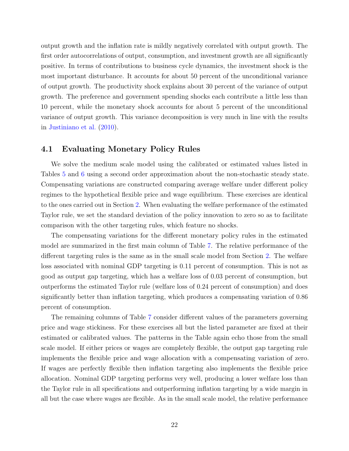output growth and the inflation rate is mildly negatively correlated with output growth. The first order autocorrelations of output, consumption, and investment growth are all significantly positive. In terms of contributions to business cycle dynamics, the investment shock is the most important disturbance. It accounts for about 50 percent of the unconditional variance of output growth. The productivity shock explains about 30 percent of the variance of output growth. The preference and government spending shocks each contribute a little less than 10 percent, while the monetary shock accounts for about 5 percent of the unconditional variance of output growth. This variance decomposition is very much in line with the results in [Justiniano et al.](#page-33-9) [\(2010\)](#page-33-9).

#### 4.1 Evaluating Monetary Policy Rules

We solve the medium scale model using the calibrated or estimated values listed in Tables [5](#page-21-0) and [6](#page-22-0) using a second order approximation about the non-stochastic steady state. Compensating variations are constructed comparing average welfare under different policy regimes to the hypothetical flexible price and wage equilibrium. These exercises are identical to the ones carried out in Section [2.](#page-5-0) When evaluating the welfare performance of the estimated Taylor rule, we set the standard deviation of the policy innovation to zero so as to facilitate comparison with the other targeting rules, which feature no shocks.

The compensating variations for the different monetary policy rules in the estimated model are summarized in the first main column of Table [7.](#page-24-0) The relative performance of the different targeting rules is the same as in the small scale model from Section [2.](#page-5-0) The welfare loss associated with nominal GDP targeting is 0.11 percent of consumption. This is not as good as output gap targeting, which has a welfare loss of 0.03 percent of consumption, but outperforms the estimated Taylor rule (welfare loss of 0.24 percent of consumption) and does significantly better than inflation targeting, which produces a compensating variation of 0.86 percent of consumption.

The remaining columns of Table [7](#page-24-0) consider different values of the parameters governing price and wage stickiness. For these exercises all but the listed parameter are fixed at their estimated or calibrated values. The patterns in the Table again echo those from the small scale model. If either prices or wages are completely flexible, the output gap targeting rule implements the flexible price and wage allocation with a compensating variation of zero. If wages are perfectly flexible then inflation targeting also implements the flexible price allocation. Nominal GDP targeting performs very well, producing a lower welfare loss than the Taylor rule in all specifications and outperforming inflation targeting by a wide margin in all but the case where wages are flexible. As in the small scale model, the relative performance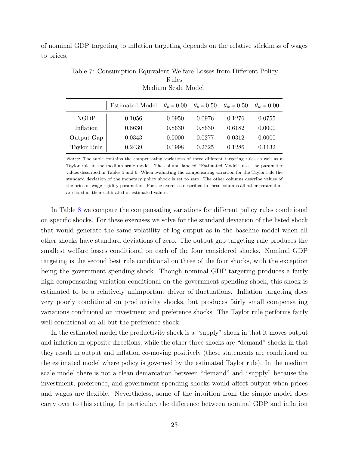<span id="page-24-0"></span>of nominal GDP targeting to inflation targeting depends on the relative stickiness of wages to prices.

|             | Estimated Model |        | $\theta_p = 0.00$ $\theta_p = 0.50$ | $\theta_w = 0.50$ | $\theta_w = 0.00$ |
|-------------|-----------------|--------|-------------------------------------|-------------------|-------------------|
| <b>NGDP</b> | 0.1056          | 0.0950 | 0.0976                              | 0.1276            | 0.0755            |
| Inflation   | 0.8630          | 0.8630 | 0.8630                              | 0.6182            | 0.0000            |
| Output Gap  | 0.0343          | 0.0000 | 0.0277                              | 0.0312            | 0.0000            |
| Taylor Rule | 0.2439          | 0.1998 | 0.2325                              | 0.1286            | 0.1132            |

Table 7: Consumption Equivalent Welfare Losses from Different Policy Rules Medium Scale Model

Notes: The table contains the compensating variations of three different targeting rules as well as a Taylor rule in the medium scale model. The column labeled "Estimated Model" uses the parameter values described in Tables [5](#page-21-0) and [6.](#page-22-0) When evaluating the compensating variation for the Taylor rule the standard deviation of the monetary policy shock is set to zero. The other columns describe values of the price or wage rigidity parameters. For the exercises described in these columns all other parameters are fixed at their calibrated or estimated values.

In Table [8](#page-25-0) we compare the compensating variations for different policy rules conditional on specific shocks. For these exercises we solve for the standard deviation of the listed shock that would generate the same volatility of log output as in the baseline model when all other shocks have standard deviations of zero. The output gap targeting rule produces the smallest welfare losses conditional on each of the four considered shocks. Nominal GDP targeting is the second best rule conditional on three of the four shocks, with the exception being the government spending shock. Though nominal GDP targeting produces a fairly high compensating variation conditional on the government spending shock, this shock is estimated to be a relatively unimportant driver of fluctuations. Inflation targeting does very poorly conditional on productivity shocks, but produces fairly small compensating variations conditional on investment and preference shocks. The Taylor rule performs fairly well conditional on all but the preference shock.

In the estimated model the productivity shock is a "supply" shock in that it moves output and inflation in opposite directions, while the other three shocks are "demand" shocks in that they result in output and inflation co-moving positively (these statements are conditional on the estimated model where policy is governed by the estimated Taylor rule). In the medium scale model there is not a clean demarcation between "demand" and "supply" because the investment, preference, and government spending shocks would affect output when prices and wages are flexible. Nevertheless, some of the intuition from the simple model does carry over to this setting. In particular, the difference between nominal GDP and inflation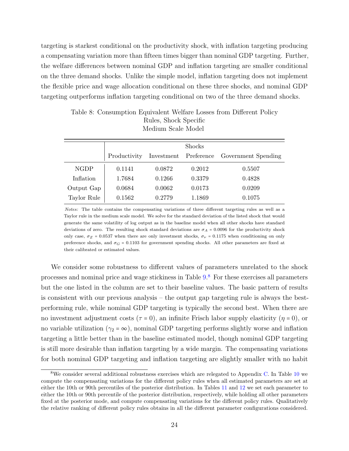targeting is starkest conditional on the productivity shock, with inflation targeting producing a compensating variation more than fifteen times bigger than nominal GDP targeting. Further, the welfare differences between nominal GDP and inflation targeting are smaller conditional on the three demand shocks. Unlike the simple model, inflation targeting does not implement the flexible price and wage allocation conditional on these three shocks, and nominal GDP targeting outperforms inflation targeting conditional on two of the three demand shocks.

<span id="page-25-0"></span>Table 8: Consumption Equivalent Welfare Losses from Different Policy Rules, Shock Specific Medium Scale Model

|             | <b>Shocks</b> |                       |        |                     |  |
|-------------|---------------|-----------------------|--------|---------------------|--|
|             | Productivity  | Investment Preference |        | Government Spending |  |
| <b>NGDP</b> | 0.1141        | 0.0872                | 0.2012 | 0.5507              |  |
| Inflation   | 1.7684        | 0.1266                | 0.3379 | 0.4828              |  |
| Output Gap  | 0.0684        | 0.0062                | 0.0173 | 0.0209              |  |
| Taylor Rule | 0.1562        | 0.2779                | 1.1869 | 0.1075              |  |

Notes: The table contains the compensating variations of three different targeting rules as well as a Taylor rule in the medium scale model. We solve for the standard deviation of the listed shock that would generate the same volatility of log output as in the baseline model when all other shocks have standard deviations of zero. The resulting shock standard deviations are  $\sigma_A = 0.0096$  for the productivity shock only case,  $\sigma_Z = 0.0537$  when there are only investment shocks,  $\sigma_\nu = 0.1175$  when conditioning on only preference shocks, and  $\sigma_G = 0.1103$  for government spending shocks. All other parameters are fixed at their calibrated or estimated values.

We consider some robustness to different values of parameters unrelated to the shock processes and nominal price and wage stickiness in Table [9.](#page-26-0) [8](#page-25-1) For these exercises all parameters but the one listed in the column are set to their baseline values. The basic pattern of results is consistent with our previous analysis – the output gap targeting rule is always the bestperforming rule, while nominal GDP targeting is typically the second best. When there are no investment adjustment costs ( $\tau = 0$ ), an infinite Frisch labor supply elasticity ( $\eta = 0$ ), or no variable utilization ( $\gamma_2 = \infty$ ), nominal GDP targeting performs slightly worse and inflation targeting a little better than in the baseline estimated model, though nominal GDP targeting is still more desirable than inflation targeting by a wide margin. The compensating variations for both nominal GDP targeting and inflation targeting are slightly smaller with no habit

<span id="page-25-1"></span><sup>&</sup>lt;sup>8</sup>We consider several additional robustness exercises which are relegated to Appendix [C.](#page-38-0) In Table [10](#page-39-0) we compute the compensating variations for the different policy rules when all estimated parameters are set at either the 10th or 90th percentiles of the posterior distribution. In Tables [11](#page-40-0) and [12](#page-41-0) we set each parameter to either the 10th or 90th percentile of the posterior distribution, respectively, while holding all other parameters fixed at the posterior mode, and compute compensating variations for the different policy rules. Qualitatively the relative ranking of different policy rules obtains in all the different parameter configurations considered.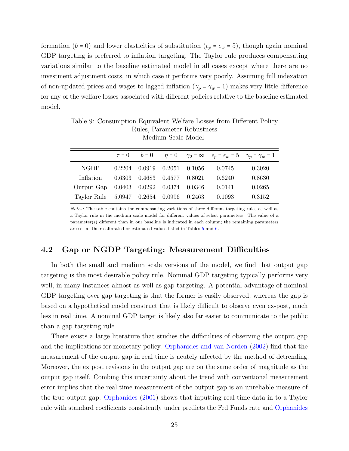formation (b = 0) and lower elasticities of substitution ( $\epsilon_p = \epsilon_w = 5$ ), though again nominal GDP targeting is preferred to inflation targeting. The Taylor rule produces compensating variations similar to the baseline estimated model in all cases except where there are no investment adjustment costs, in which case it performs very poorly. Assuming full indexation of non-updated prices and wages to lagged inflation ( $\gamma_p = \gamma_w = 1$ ) makes very little difference for any of the welfare losses associated with different policies relative to the baseline estimated model.

|                                                                                         |  |  | $\begin{vmatrix} \tau = 0 & b = 0 & \eta = 0 & \gamma_2 = \infty & \epsilon_p = \epsilon_w = 5 & \gamma_p = \gamma_w = 1 \end{vmatrix}$ |        |
|-----------------------------------------------------------------------------------------|--|--|-----------------------------------------------------------------------------------------------------------------------------------------|--------|
| NGDP $\begin{array}{ l} \n\end{array}$ 0.2204 0.0919 0.2051 0.1056 0.0745               |  |  |                                                                                                                                         | 0.3020 |
| $\begin{tabular}{c cccccc} Inflation & 0.6303 & 0.4683 & 0.4577 & 0.8021 \end{tabular}$ |  |  | 0.6240                                                                                                                                  | 0.8630 |
| Output Gap 0.0403 0.0292 0.0374 0.0346 0.0141                                           |  |  |                                                                                                                                         | 0.0265 |
| Taylor Rule 5.0947 0.2654 0.0996 0.2463                                                 |  |  | 0.1093                                                                                                                                  | 0.3152 |

<span id="page-26-0"></span>Table 9: Consumption Equivalent Welfare Losses from Different Policy Rules, Parameter Robustness Medium Scale Model

### 4.2 Gap or NGDP Targeting: Measurement Difficulties

In both the small and medium scale versions of the model, we find that output gap targeting is the most desirable policy rule. Nominal GDP targeting typically performs very well, in many instances almost as well as gap targeting. A potential advantage of nominal GDP targeting over gap targeting is that the former is easily observed, whereas the gap is based on a hypothetical model construct that is likely difficult to observe even ex-post, much less in real time. A nominal GDP target is likely also far easier to communicate to the public than a gap targeting rule.

There exists a large literature that studies the difficulties of observing the output gap and the implications for monetary policy. [Orphanides and van Norden](#page-33-3) [\(2002\)](#page-33-3) find that the measurement of the output gap in real time is acutely affected by the method of detrending. Moreover, the ex post revisions in the output gap are on the same order of magnitude as the output gap itself. Combing this uncertainty about the trend with conventional measurement error implies that the real time measurement of the output gap is an unreliable measure of the true output gap. [Orphanides](#page-33-2) [\(2001\)](#page-33-2) shows that inputting real time data in to a Taylor rule with standard coefficients consistently under predicts the Fed Funds rate and [Orphanides](#page-33-4)

Notes: The table contains the compensating variations of three different targeting rules as well as a Taylor rule in the medium scale model for different values of select parameters. The value of a parameter(s) different than in our baseline is indicated in each column; the remaining parameters are set at their calibrated or estimated values listed in Tables [5](#page-21-0) and [6.](#page-22-0)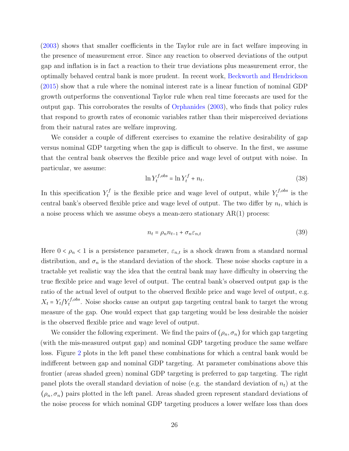[\(2003\)](#page-33-4) shows that smaller coefficients in the Taylor rule are in fact welfare improving in the presence of measurement error. Since any reaction to observed deviations of the output gap and inflation is in fact a reaction to their true deviations plus measurement error, the optimally behaved central bank is more prudent. In recent work, [Beckworth and Hendrickson](#page-32-12) [\(2015\)](#page-32-12) show that a rule where the nominal interest rate is a linear function of nominal GDP growth outperforms the conventional Taylor rule when real time forecasts are used for the output gap. This corroborates the results of [Orphanides](#page-33-4) [\(2003\)](#page-33-4), who finds that policy rules that respond to growth rates of economic variables rather than their misperceived deviations from their natural rates are welfare improving.

We consider a couple of different exercises to examine the relative desirability of gap versus nominal GDP targeting when the gap is difficult to observe. In the first, we assume that the central bank observes the flexible price and wage level of output with noise. In particular, we assume:

$$
\ln Y_t^{f,obs} = \ln Y_t^f + n_t. \tag{38}
$$

In this specification  $Y_t^f$  $t_t^{f}$  is the flexible price and wage level of output, while  $Y_t^{f,obs}$  $t_t^{f,obs}$  is the central bank's observed flexible price and wage level of output. The two differ by  $n_t$ , which is a noise process which we assume obeys a mean-zero stationary  $AR(1)$  process:

$$
n_t = \rho_n n_{t-1} + \sigma_n \varepsilon_{n,t} \tag{39}
$$

Here  $0 < \rho_n < 1$  is a persistence parameter,  $\varepsilon_{n,t}$  is a shock drawn from a standard normal distribution, and  $\sigma_n$  is the standard deviation of the shock. These noise shocks capture in a tractable yet realistic way the idea that the central bank may have difficulty in observing the true flexible price and wage level of output. The central bank's observed output gap is the ratio of the actual level of output to the observed flexible price and wage level of output, e.g.  $X_t = Y_t/Y_t^{f,obs}$  $t_t^{(1,obs)}$ . Noise shocks cause an output gap targeting central bank to target the wrong measure of the gap. One would expect that gap targeting would be less desirable the noisier is the observed flexible price and wage level of output.

We consider the following experiment. We find the pairs of  $(\rho_n, \sigma_n)$  for which gap targeting (with the mis-measured output gap) and nominal GDP targeting produce the same welfare loss. Figure [2](#page-28-0) plots in the left panel these combinations for which a central bank would be indifferent between gap and nominal GDP targeting. At parameter combinations above this frontier (areas shaded green) nominal GDP targeting is preferred to gap targeting. The right panel plots the overall standard deviation of noise (e.g. the standard deviation of  $n_t$ ) at the  $(\rho_n, \sigma_n)$  pairs plotted in the left panel. Areas shaded green represent standard deviations of the noise process for which nominal GDP targeting produces a lower welfare loss than does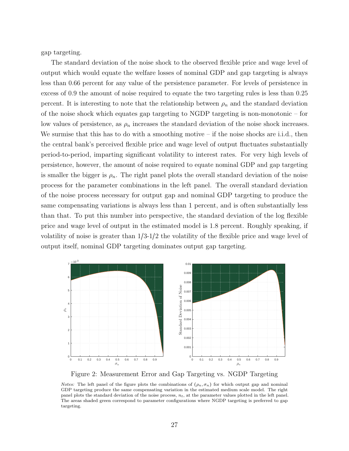gap targeting.

The standard deviation of the noise shock to the observed flexible price and wage level of output which would equate the welfare losses of nominal GDP and gap targeting is always less than 0.66 percent for any value of the persistence parameter. For levels of persistence in excess of 0.9 the amount of noise required to equate the two targeting rules is less than 0.25 percent. It is interesting to note that the relationship between  $\rho_n$  and the standard deviation of the noise shock which equates gap targeting to NGDP targeting is non-monotonic – for low values of persistence, as  $\rho_n$  increases the standard deviation of the noise shock increases. We surmise that this has to do with a smoothing motive  $-$  if the noise shocks are i.i.d., then the central bank's perceived flexible price and wage level of output fluctuates substantially period-to-period, imparting significant volatility to interest rates. For very high levels of persistence, however, the amount of noise required to equate nominal GDP and gap targeting is smaller the bigger is  $\rho_n$ . The right panel plots the overall standard deviation of the noise process for the parameter combinations in the left panel. The overall standard deviation of the noise process necessary for output gap and nominal GDP targeting to produce the same compensating variations is always less than 1 percent, and is often substantially less than that. To put this number into perspective, the standard deviation of the log flexible price and wage level of output in the estimated model is 1.8 percent. Roughly speaking, if volatility of noise is greater than 1/3-1/2 the volatility of the flexible price and wage level of output itself, nominal GDP targeting dominates output gap targeting.

<span id="page-28-0"></span>

Figure 2: Measurement Error and Gap Targeting vs. NGDP Targeting

*Notes:* The left panel of the figure plots the combinations of  $(\rho_n, \sigma_n)$  for which output gap and nominal GDP targeting produce the same compensating variation in the estimated medium scale model. The right panel plots the standard deviation of the noise process,  $n_t$ , at the parameter values plotted in the left panel. The areas shaded green correspond to parameter configurations where NGDP targeting is preferred to gap targeting.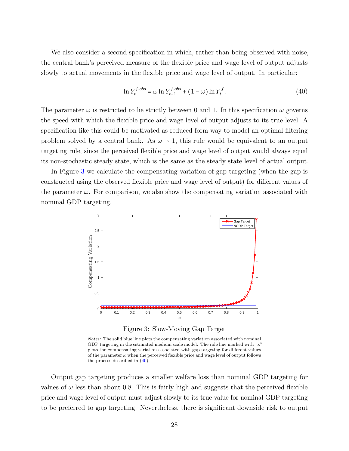We also consider a second specification in which, rather than being observed with noise, the central bank's perceived measure of the flexible price and wage level of output adjusts slowly to actual movements in the flexible price and wage level of output. In particular:

<span id="page-29-1"></span>
$$
\ln Y_t^{f,obs} = \omega \ln Y_{t-1}^{f,obs} + (1 - \omega) \ln Y_t^f. \tag{40}
$$

The parameter  $\omega$  is restricted to lie strictly between 0 and 1. In this specification  $\omega$  governs the speed with which the flexible price and wage level of output adjusts to its true level. A specification like this could be motivated as reduced form way to model an optimal filtering problem solved by a central bank. As  $\omega \rightarrow 1$ , this rule would be equivalent to an output targeting rule, since the perceived flexible price and wage level of output would always equal its non-stochastic steady state, which is the same as the steady state level of actual output.

<span id="page-29-0"></span>In Figure [3](#page-29-0) we calculate the compensating variation of gap targeting (when the gap is constructed using the observed flexible price and wage level of output) for different values of the parameter  $\omega$ . For comparison, we also show the compensating variation associated with nominal GDP targeting.



Figure 3: Slow-Moving Gap Target

Notes: The solid blue line plots the compensating variation associated with nominal GDP targeting in the estimated medium scale model. The ride line marked with "x" plots the compensating variation associated with gap targeting for different values of the parameter  $\omega$  when the perceived flexible price and wage level of output follows the process described in [\(40\)](#page-29-1).

Output gap targeting produces a smaller welfare loss than nominal GDP targeting for values of  $\omega$  less than about 0.8. This is fairly high and suggests that the perceived flexible price and wage level of output must adjust slowly to its true value for nominal GDP targeting to be preferred to gap targeting. Nevertheless, there is significant downside risk to output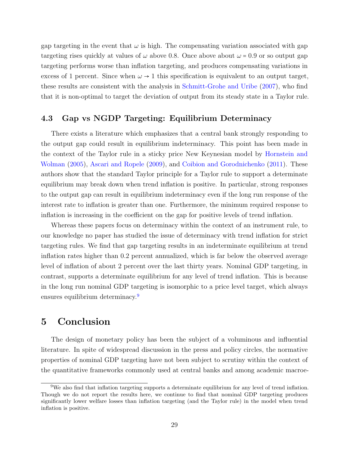gap targeting in the event that  $\omega$  is high. The compensating variation associated with gap targeting rises quickly at values of  $\omega$  above 0.8. Once above about  $\omega = 0.9$  or so output gap targeting performs worse than inflation targeting, and produces compensating variations in excess of 1 percent. Since when  $\omega \to 1$  this specification is equivalent to an output target, these results are consistent with the analysis in [Schmitt-Grohe and Uribe](#page-33-10) [\(2007\)](#page-33-10), who find that it is non-optimal to target the deviation of output from its steady state in a Taylor rule.

#### 4.3 Gap vs NGDP Targeting: Equilibrium Determinacy

There exists a literature which emphasizes that a central bank strongly responding to the output gap could result in equilibrium indeterminacy. This point has been made in the context of the Taylor rule in a sticky price New Keynesian model by [Hornstein and](#page-32-4) [Wolman](#page-32-4) [\(2005\)](#page-32-4), [Ascari and Ropele](#page-32-5) [\(2009\)](#page-32-5), and [Coibion and Gorodnichenko](#page-32-6) [\(2011\)](#page-32-6). These authors show that the standard Taylor principle for a Taylor rule to support a determinate equilibrium may break down when trend inflation is positive. In particular, strong responses to the output gap can result in equilibrium indeterminacy even if the long run response of the interest rate to inflation is greater than one. Furthermore, the minimum required response to inflation is increasing in the coefficient on the gap for positive levels of trend inflation.

Whereas these papers focus on determinacy within the context of an instrument rule, to our knowledge no paper has studied the issue of determinacy with trend inflation for strict targeting rules. We find that gap targeting results in an indeterminate equilibrium at trend inflation rates higher than 0.2 percent annualized, which is far below the observed average level of inflation of about 2 percent over the last thirty years. Nominal GDP targeting, in contrast, supports a determinate equilibrium for any level of trend inflation. This is because in the long run nominal GDP targeting is isomorphic to a price level target, which always ensures equilibrium determinacy.[9](#page-30-0)

# 5 Conclusion

The design of monetary policy has been the subject of a voluminous and influential literature. In spite of widespread discussion in the press and policy circles, the normative properties of nominal GDP targeting have not been subject to scrutiny within the context of the quantitative frameworks commonly used at central banks and among academic macroe-

<span id="page-30-0"></span><sup>&</sup>lt;sup>9</sup>We also find that inflation targeting supports a determinate equilibrium for any level of trend inflation. Though we do not report the results here, we continue to find that nominal GDP targeting produces significantly lower welfare losses than inflation targeting (and the Taylor rule) in the model when trend inflation is positive.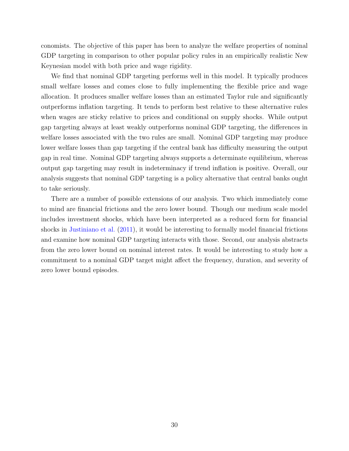conomists. The objective of this paper has been to analyze the welfare properties of nominal GDP targeting in comparison to other popular policy rules in an empirically realistic New Keynesian model with both price and wage rigidity.

We find that nominal GDP targeting performs well in this model. It typically produces small welfare losses and comes close to fully implementing the flexible price and wage allocation. It produces smaller welfare losses than an estimated Taylor rule and significantly outperforms inflation targeting. It tends to perform best relative to these alternative rules when wages are sticky relative to prices and conditional on supply shocks. While output gap targeting always at least weakly outperforms nominal GDP targeting, the differences in welfare losses associated with the two rules are small. Nominal GDP targeting may produce lower welfare losses than gap targeting if the central bank has difficulty measuring the output gap in real time. Nominal GDP targeting always supports a determinate equilibrium, whereas output gap targeting may result in indeterminacy if trend inflation is positive. Overall, our analysis suggests that nominal GDP targeting is a policy alternative that central banks ought to take seriously.

There are a number of possible extensions of our analysis. Two which immediately come to mind are financial frictions and the zero lower bound. Though our medium scale model includes investment shocks, which have been interpreted as a reduced form for financial shocks in [Justiniano et al.](#page-33-13) [\(2011\)](#page-33-13), it would be interesting to formally model financial frictions and examine how nominal GDP targeting interacts with those. Second, our analysis abstracts from the zero lower bound on nominal interest rates. It would be interesting to study how a commitment to a nominal GDP target might affect the frequency, duration, and severity of zero lower bound episodes.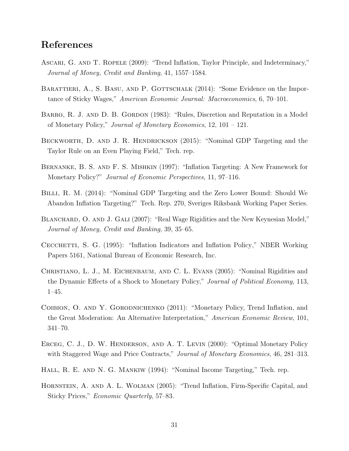# References

- <span id="page-32-5"></span>Ascari, G. and T. Ropele (2009): "Trend Inflation, Taylor Principle, and Indeterminacy," Journal of Money, Credit and Banking, 41, 1557–1584.
- <span id="page-32-11"></span>BARATTIERI, A., S. BASU, AND P. GOTTSCHALK (2014): "Some Evidence on the Importance of Sticky Wages," American Economic Journal: Macroeconomics, 6, 70–101.
- <span id="page-32-0"></span>BARRO, R. J. AND D. B. GORDON (1983): "Rules, Discretion and Reputation in a Model of Monetary Policy," Journal of Monetary Economics, 12, 101 – 121.
- <span id="page-32-12"></span>BECKWORTH, D. AND J. R. HENDRICKSON (2015): "Nominal GDP Targeting and the Taylor Rule on an Even Playing Field," Tech. rep.
- <span id="page-32-1"></span>Bernanke, B. S. and F. S. Mishkin (1997): "Inflation Targeting: A New Framework for Monetary Policy?" *Journal of Economic Perspectives*, 11, 97–116.
- <span id="page-32-7"></span>BILLI, R. M. (2014): "Nominal GDP Targeting and the Zero Lower Bound: Should We Abandon Inflation Targeting?" Tech. Rep. 270, Sveriges Riksbank Working Paper Series.
- <span id="page-32-2"></span>BLANCHARD, O. AND J. GALI (2007): "Real Wage Rigidities and the New Keynesian Model," Journal of Money, Credit and Banking, 39, 35–65.
- <span id="page-32-8"></span>Cecchetti, S. G. (1995): "Inflation Indicators and Inflation Policy," NBER Working Papers 5161, National Bureau of Economic Research, Inc.
- <span id="page-32-10"></span>Christiano, L. J., M. Eichenbaum, and C. L. Evans (2005): "Nominal Rigidities and the Dynamic Effects of a Shock to Monetary Policy," Journal of Political Economy, 113, 1–45.
- <span id="page-32-6"></span>COIBION, O. AND Y. GORODNICHENKO (2011): "Monetary Policy, Trend Inflation, and the Great Moderation: An Alternative Interpretation," American Economic Review, 101, 341–70.
- <span id="page-32-3"></span>Erceg, C. J., D. W. Henderson, and A. T. Levin (2000): "Optimal Monetary Policy with Staggered Wage and Price Contracts," Journal of Monetary Economics, 46, 281-313.
- <span id="page-32-9"></span>HALL, R. E. AND N. G. MANKIW (1994): "Nominal Income Targeting," Tech. rep.
- <span id="page-32-4"></span>Hornstein, A. and A. L. Wolman (2005): "Trend Inflation, Firm-Specific Capital, and Sticky Prices," Economic Quarterly, 57–83.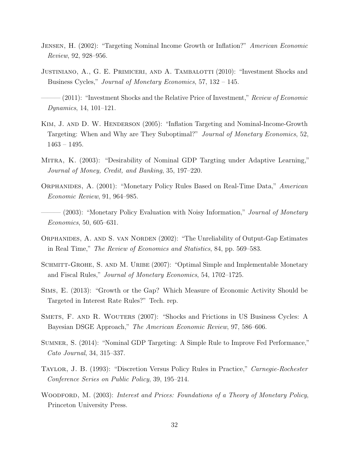- <span id="page-33-6"></span>Jensen, H. (2002): "Targeting Nominal Income Growth or Inflation?" American Economic Review, 92, 928–956.
- <span id="page-33-9"></span>JUSTINIANO, A., G. E. PRIMICERI, AND A. TAMBALOTTI (2010): "Investment Shocks and Business Cycles," Journal of Monetary Economics, 57, 132 – 145.
- <span id="page-33-13"></span> $(2011)$ : "Investment Shocks and the Relative Price of Investment," Review of Economic Dynamics, 14, 101–121.
- <span id="page-33-7"></span>KIM, J. AND D. W. HENDERSON (2005): "Inflation Targeting and Nominal-Income-Growth Targeting: When and Why are They Suboptimal?" *Journal of Monetary Economics*, 52, 1463 – 1495.
- <span id="page-33-5"></span>Mitra, K. (2003): "Desirability of Nominal GDP Targting under Adaptive Learning," Journal of Money, Credit, and Banking, 35, 197–220.
- <span id="page-33-2"></span>ORPHANIDES, A. (2001): "Monetary Policy Rules Based on Real-Time Data," American Economic Review, 91, 964–985.
- <span id="page-33-4"></span>– (2003): "Monetary Policy Evaluation with Noisy Information," *Journal of Monetary* Economics, 50, 605–631.
- <span id="page-33-3"></span>Orphanides, A. and S. van Norden (2002): "The Unreliability of Output-Gap Estimates in Real Time," The Review of Economics and Statistics, 84, pp. 569–583.
- <span id="page-33-10"></span>SCHMITT-GROHE, S. AND M. URIBE (2007): "Optimal Simple and Implementable Monetary and Fiscal Rules," Journal of Monetary Economics, 54, 1702–1725.
- <span id="page-33-11"></span>Sims, E. (2013): "Growth or the Gap? Which Measure of Economic Activity Should be Targeted in Interest Rate Rules?" Tech. rep.
- <span id="page-33-8"></span>Smets, F. and R. Wouters (2007): "Shocks and Frictions in US Business Cycles: A Bayesian DSGE Approach," The American Economic Review, 97, 586–606.
- <span id="page-33-1"></span>Sumner, S. (2014): "Nominal GDP Targeting: A Simple Rule to Improve Fed Performance," Cato Journal, 34, 315–337.
- <span id="page-33-12"></span>Taylor, J. B. (1993): "Discretion Versus Policy Rules in Practice," Carnegie-Rochester Conference Series on Public Policy, 39, 195–214.
- <span id="page-33-0"></span>WOODFORD, M. (2003): Interest and Prices: Foundations of a Theory of Monetary Policy, Princeton University Press.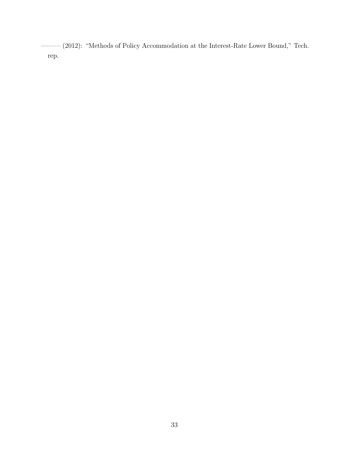<span id="page-34-0"></span>——— (2012): "Methods of Policy Accommodation at the Interest-Rate Lower Bound," Tech. rep.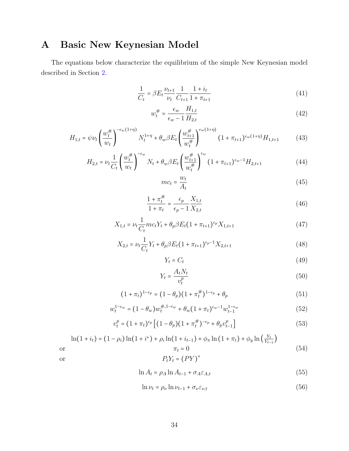# <span id="page-35-0"></span>A Basic New Keynesian Model

The equations below characterize the equilibrium of the simple New Keynesian model described in Section [2.](#page-5-0)

<span id="page-35-1"></span>
$$
\frac{1}{C_t} = \beta E_t \frac{\nu_{t+1}}{\nu_t} \frac{1}{C_{t+1}} \frac{1 + i_t}{1 + \pi_{t+1}}
$$
\n(41)

<span id="page-35-2"></span>
$$
w_t^{\#} = \frac{\epsilon_w}{\epsilon_w - 1} \frac{H_{1,t}}{H_{2,t}}
$$
(42)

$$
H_{1,t} = \psi \nu_t \left(\frac{w_t^{\#}}{w_t}\right)^{-\epsilon_w(1+\eta)} N_t^{1+\eta} + \theta_w \beta E_t \left(\frac{w_{t+1}^{\#}}{w_t^{\#}}\right)^{\epsilon_w(1+\eta)} (1 + \pi_{t+1})^{\epsilon_w(1+\eta)} H_{1,t+1}
$$
(43)

<span id="page-35-3"></span>
$$
H_{2,t} = \nu_t \frac{1}{C_t} \left( \frac{w_t^{\#}}{w_t} \right)^{-\epsilon_w} N_t + \theta_w \beta E_t \left( \frac{w_{t+1}^{\#}}{w_t^{\#}} \right)^{\epsilon_w} (1 + \pi_{t+1})^{\epsilon_w - 1} H_{2,t+1}
$$
(44)

<span id="page-35-4"></span>
$$
mc_t = \frac{w_t}{A_t} \tag{45}
$$

<span id="page-35-5"></span>
$$
\frac{1 + \pi_t^{\#}}{1 + \pi_t} = \frac{\epsilon_p}{\epsilon_p - 1} \frac{X_{1,t}}{X_{2,t}}
$$
(46)

$$
X_{1,t} = \nu_t \frac{1}{C_t} m c_t Y_t + \theta_p \beta E_t (1 + \pi_{t+1})^{\epsilon_p} X_{1,t+1}
$$
\n(47)

<span id="page-35-6"></span>
$$
X_{2,t} = \nu_t \frac{1}{C_t} Y_t + \theta_p \beta E_t (1 + \pi_{t+1})^{\epsilon_p - 1} X_{2,t+1}
$$
\n(48)

<span id="page-35-7"></span>
$$
Y_t = C_t \tag{49}
$$

<span id="page-35-8"></span>
$$
Y_t = \frac{A_t N_t}{v_t^p} \tag{50}
$$

<span id="page-35-9"></span>
$$
(1 + \pi_t)^{1 - \epsilon_p} = (1 - \theta_p)(1 + \pi_t^{\#})^{1 - \epsilon_p} + \theta_p \tag{51}
$$

<span id="page-35-10"></span>
$$
w_t^{1-\epsilon_w} = (1 - \theta_w) w_t^{\#, 1-\epsilon_w} + \theta_w (1 + \pi_t)^{\epsilon_w - 1} w_{t-1}^{1-\epsilon_w}
$$
 (52)

<span id="page-35-11"></span>
$$
v_t^p = (1 + \pi_t)^{\epsilon_p} \left[ (1 - \theta_p)(1 + \pi_t^{\#})^{-\epsilon_p} + \theta_p v_{t-1}^p \right]
$$
(53)

<span id="page-35-12"></span>
$$
\ln(1 + i_t) = (1 - \rho_i) \ln(1 + i^*) + \rho_i \ln(1 + i_{t-1}) + \phi_\pi \ln(1 + \pi_t) + \phi_y \ln\left(\frac{Y_t}{Y_{t-1}}\right)
$$
\nor\n
$$
\pi_t = 0
$$
\nor\n
$$
P_t Y_t = (PY)^*
$$
\n(54)

$$
\overline{a}
$$

<span id="page-35-13"></span>
$$
\ln A_t = \rho_A \ln A_{t-1} + \sigma_A \varepsilon_{A,t} \tag{55}
$$

<span id="page-35-14"></span>
$$
\ln \nu_t = \rho_\nu \ln \nu_{t-1} + \sigma_\nu \varepsilon_{\nu,t} \tag{56}
$$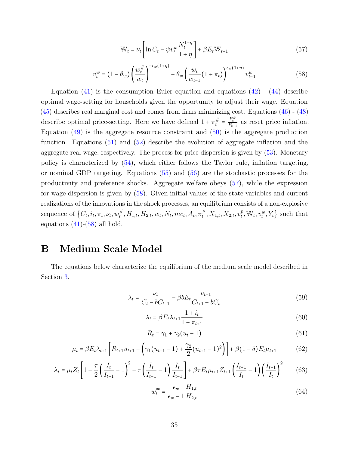<span id="page-36-1"></span>
$$
\mathbb{W}_{t} = \nu_{t} \left[ \ln C_{t} - \psi v_{t}^{w} \frac{N_{t}^{1+\eta}}{1+\eta} \right] + \beta E_{t} \mathbb{W}_{t+1}
$$
\n(57)

<span id="page-36-2"></span>
$$
v_t^w = (1 - \theta_w) \left( \frac{w_t^{\#}}{w_t} \right)^{-\epsilon_w (1 + \eta)} + \theta_w \left( \frac{w_t}{w_{t-1}} (1 + \pi_t) \right)^{\epsilon_w (1 + \eta)} v_{t-1}^w
$$
(58)

Equation  $(41)$  is the consumption Euler equation and equations  $(42)$  -  $(44)$  describe optimal wage-setting for households given the opportunity to adjust their wage. Equation [\(45\)](#page-35-4) describes real marginal cost and comes from firms minimizing cost. Equations [\(46\)](#page-35-5) - [\(48\)](#page-35-6) describe optimal price-setting. Here we have defined  $1 + \pi_t^{\#} = \frac{P_t^{\#}}{P_{t-1}}$  as reset price inflation. Equation  $(49)$  is the aggregate resource constraint and  $(50)$  is the aggregate production function. Equations [\(51\)](#page-35-9) and [\(52\)](#page-35-10) describe the evolution of aggregate inflation and the aggregate real wage, respectively. The process for price dispersion is given by [\(53\)](#page-35-11). Monetary policy is characterized by [\(54\)](#page-35-12), which either follows the Taylor rule, inflation targeting, or nominal GDP targeting. Equations [\(55\)](#page-35-13) and [\(56\)](#page-35-14) are the stochastic processes for the productivity and preference shocks. Aggregate welfare obeys [\(57\)](#page-36-1), while the expression for wage dispersion is given by [\(58\)](#page-36-2). Given initial values of the state variables and current realizations of the innovations in the shock processes, an equilibrium consists of a non-explosive sequence of  $\{C_t, i_t, \pi_t, \nu_t, w_t^{\#}\}$  $_{t}^{\#},H_{1,t},H_{2,t},w_{t},N_{t},mc_{t},A_{t},\pi_{t}^{\#}$  $t^{\#}, X_{1,t}, X_{2,t}, v^p_t$  $_t^p$ ,  $W_t$ ,  $v_t^w$ ,  $Y_t$  such that equations  $(41)-(58)$  $(41)-(58)$  $(41)-(58)$  all hold.

# <span id="page-36-0"></span>B Medium Scale Model

The equations below characterize the equilibrium of the medium scale model described in Section [3.](#page-16-0)

<span id="page-36-3"></span>
$$
\lambda_t = \frac{\nu_t}{C_t - bC_{t-1}} - \beta b E_t \frac{\nu_{t+1}}{C_{t+1} - bC_t} \tag{59}
$$

<span id="page-36-4"></span>
$$
\lambda_t = \beta E_t \lambda_{t+1} \frac{1 + i_t}{1 + \pi_{t+1}} \tag{60}
$$

<span id="page-36-5"></span>
$$
R_t = \gamma_1 + \gamma_2 (u_t - 1) \tag{61}
$$

<span id="page-36-6"></span>
$$
\mu_t = \beta E_t \lambda_{t+1} \left[ R_{t+1} u_{t+1} - \left( \gamma_1 (u_{t+1} - 1) + \frac{\gamma_2}{2} (u_{t+1} - 1)^2 \right) \right] + \beta (1 - \delta) E_t \mu_{t+1} \tag{62}
$$

<span id="page-36-7"></span>
$$
\lambda_t = \mu_t Z_t \left[ 1 - \frac{\tau}{2} \left( \frac{I_t}{I_{t-1}} - 1 \right)^2 - \tau \left( \frac{I_t}{I_{t-1}} - 1 \right) \frac{I_t}{I_{t-1}} \right] + \beta \tau E_t \mu_{t+1} Z_{t+1} \left( \frac{I_{t+1}}{I_t} - 1 \right) \left( \frac{I_{t+1}}{I_t} \right)^2 \tag{63}
$$

<span id="page-36-8"></span>
$$
w_t^{\#} = \frac{\epsilon_w}{\epsilon_w - 1} \frac{H_{1,t}}{H_{2,t}} \tag{64}
$$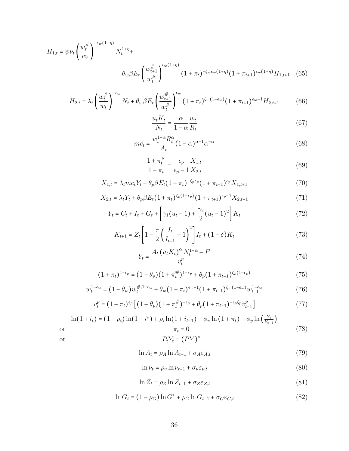$$
H_{1,t} = \psi \nu_t \left(\frac{w_t^{\#}}{w_t}\right)^{-\epsilon_w(1+\eta)} N_t^{1+\eta} +
$$
  

$$
\theta_w \beta E_t \left(\frac{w_{t+1}^{\#}}{w_t^{\#}}\right)^{\epsilon_w(1+\eta)} (1+\pi_t)^{-\zeta_w\epsilon_w(1+\eta)} (1+\pi_{t+1})^{\epsilon_w(1+\eta)} H_{1,t+1} \quad (65)
$$

<span id="page-37-0"></span>
$$
H_{2,t} = \lambda_t \left(\frac{w_t^{\#}}{w_t}\right)^{-\epsilon_w} N_t + \theta_w \beta E_t \left(\frac{w_{t+1}^{\#}}{w_t^{\#}}\right)^{\epsilon_w} (1 + \pi_t)^{\zeta_w (1 - \epsilon_w)} (1 + \pi_{t+1})^{\epsilon_w - 1} H_{2,t+1}
$$
(66)

<span id="page-37-1"></span>
$$
\frac{u_t K_t}{N_t} = \frac{\alpha}{1 - \alpha} \frac{w_t}{R_t} \tag{67}
$$

<span id="page-37-2"></span>
$$
mc_t = \frac{w_t^{1-\alpha} R_t^{\alpha}}{A_t} (1-\alpha)^{\alpha-1} \alpha^{-\alpha}
$$
\n(68)

<span id="page-37-3"></span>
$$
\frac{1+\pi_t^{\#}}{1+\pi_t} = \frac{\epsilon_p}{\epsilon_p - 1} \frac{X_{1,t}}{X_{2,t}} \tag{69}
$$

$$
X_{1,t} = \lambda_t m c_t Y_t + \theta_p \beta E_t (1 + \pi_t)^{-\zeta_p \epsilon_p} (1 + \pi_{t+1})^{\epsilon_p} X_{1,t+1}
$$
\n(70)

<span id="page-37-4"></span>
$$
X_{2,t} = \lambda_t Y_t + \theta_p \beta E_t (1 + \pi_t)^{\zeta_p (1 - \epsilon_p)} (1 + \pi_{t+1})^{\epsilon_p - 1} X_{2,t+1}
$$
 (71)

<span id="page-37-5"></span>
$$
Y_t = C_t + I_t + G_t + \left[ \gamma_1 (u_t - 1) + \frac{\gamma_2}{2} (u_t - 1)^2 \right] K_t \tag{72}
$$

<span id="page-37-6"></span>
$$
K_{t+1} = Z_t \left[ 1 - \frac{\tau}{2} \left( \frac{I_t}{I_{t-1}} - 1 \right)^2 \right] I_t + (1 - \delta) K_t \tag{73}
$$

<span id="page-37-7"></span>
$$
Y_t = \frac{A_t \left(u_t K_t\right)^\alpha N_t^{1-\alpha} - F}{v_t^p} \tag{74}
$$

<span id="page-37-8"></span>
$$
(1 + \pi_t)^{1 - \epsilon_p} = (1 - \theta_p)(1 + \pi_t^{\#})^{1 - \epsilon_p} + \theta_p(1 + \pi_{t-1})^{\zeta_p(1 - \epsilon_p)}
$$
(75)

<span id="page-37-9"></span>
$$
w_t^{1-\epsilon_w} = (1-\theta_w)w_t^{\#,1-\epsilon_w} + \theta_w(1+\pi_t)^{\epsilon_w-1}(1+\pi_{t-1})^{\zeta_w(1-\epsilon_w)}w_{t-1}^{1-\epsilon_w}
$$
(76)

<span id="page-37-10"></span>
$$
v_t^p = (1 + \pi_t)^{\epsilon_p} \left[ (1 - \theta_p)(1 + \pi_t^{\#})^{-\epsilon_p} + \theta_p (1 + \pi_{t-1})^{-\epsilon_p \zeta_p} v_{t-1}^p \right] \tag{77}
$$

<span id="page-37-11"></span>
$$
\ln(1 + i_t) = (1 - \rho_i) \ln(1 + i^*) + \rho_i \ln(1 + i_{t-1}) + \phi_\pi \ln(1 + \pi_t) + \phi_y \ln\left(\frac{Y_t}{Y_{t-1}}\right)
$$
\nor\n
$$
\pi_t = 0
$$
\n(78)

or  $P_tY_t = (PY)^*$ 

<span id="page-37-12"></span>
$$
\ln A_t = \rho_A \ln A_{t-1} + \sigma_A \varepsilon_{A,t} \tag{79}
$$

$$
\ln \nu_t = \rho_\nu \ln \nu_{t-1} + \sigma_\nu \varepsilon_{\nu,t} \tag{80}
$$

$$
\ln Z_t = \rho_Z \ln Z_{t-1} + \sigma_Z \varepsilon_{Z,t} \tag{81}
$$

<span id="page-37-13"></span>
$$
\ln G_t = (1 - \rho_G) \ln G^* + \rho_G \ln G_{t-1} + \sigma_G \varepsilon_{G,t} \tag{82}
$$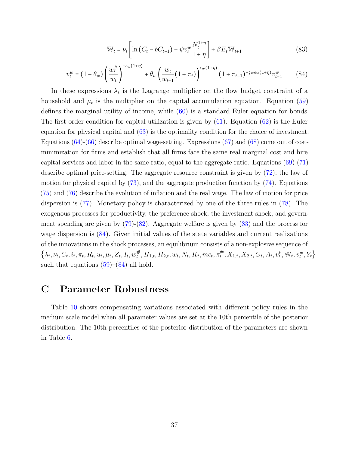<span id="page-38-1"></span>
$$
\mathbb{W}_{t} = \nu_{t} \left[ \ln \left( C_{t} - b C_{t-1} \right) - \psi v_{t}^{w} \frac{N_{t}^{1+\eta}}{1+\eta} \right] + \beta E_{t} \mathbb{W}_{t+1}
$$
(83)

<span id="page-38-2"></span>
$$
v_t^w = (1 - \theta_w) \left( \frac{w_t^{\#}}{w_t} \right)^{-\epsilon_w (1 + \eta)} + \theta_w \left( \frac{w_t}{w_{t-1}} (1 + \pi_t) \right)^{\epsilon_w (1 + \eta)} (1 + \pi_{t-1})^{-\zeta_w \epsilon_w (1 + \eta)} v_{t-1}^w \tag{84}
$$

In these expressions  $\lambda_t$  is the Lagrange multiplier on the flow budget constraint of a household and  $\mu_t$  is the multiplier on the capital accumulation equation. Equation [\(59\)](#page-36-3) defines the marginal utility of income, while [\(60\)](#page-36-4) is a standard Euler equation for bonds. The first order condition for capital utilization is given by  $(61)$ . Equation  $(62)$  is the Euler equation for physical capital and [\(63\)](#page-36-7) is the optimality condition for the choice of investment. Equations [\(64\)](#page-36-8)-[\(66\)](#page-37-0) describe optimal wage-setting. Expressions [\(67\)](#page-37-1) and [\(68\)](#page-37-2) come out of costminimization for firms and establish that all firms face the same real marginal cost and hire capital services and labor in the same ratio, equal to the aggregate ratio. Equations  $(69)-(71)$  $(69)-(71)$  $(69)-(71)$ describe optimal price-setting. The aggregate resource constraint is given by [\(72\)](#page-37-5), the law of motion for physical capital by [\(73\)](#page-37-6), and the aggregate production function by [\(74\)](#page-37-7). Equations [\(75\)](#page-37-8) and [\(76\)](#page-37-9) describe the evolution of inflation and the real wage. The law of motion for price dispersion is [\(77\)](#page-37-10). Monetary policy is characterized by one of the three rules in [\(78\)](#page-37-11). The exogenous processes for productivity, the preference shock, the investment shock, and government spending are given by [\(79\)](#page-37-12)-[\(82\)](#page-37-13). Aggregate welfare is given by [\(83\)](#page-38-1) and the process for wage dispersion is  $(84)$ . Given initial values of the state variables and current realizations of the innovations in the shock processes, an equilibrium consists of a non-explosive sequence of  $\{\lambda_{t}, \nu_{t}, C_{t}, i_{t}, \pi_{t}, R_{t}, u_{t}, \mu_{t}, Z_{t}, I_{t}, w_{t}^{\#}\}$  $t^{\#}, H_{1,t}, H_{2,t}, w_t, N_t, K_t, mc_t, \pi_t^{\#}$  $t^{\#}, X_{1,t}, X_{2,t}, G_t, A_t, v_t^p$  $_t^p$ ,  $\mathbb{W}_t$ ,  $v_t^w$ ,  $Y_t$ such that equations  $(59)$ – $(84)$  all hold.

# <span id="page-38-0"></span>C Parameter Robustness

Table [10](#page-39-0) shows compensating variations associated with different policy rules in the medium scale model when all parameter values are set at the 10th percentile of the posterior distribution. The 10th percentiles of the posterior distribution of the parameters are shown in Table [6.](#page-22-0)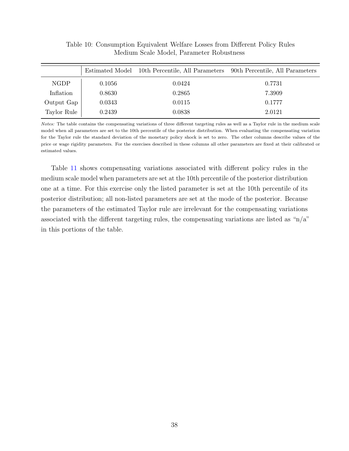|             | Estimated Model | 10th Percentile, All Parameters 90th Percentile, All Parameters |        |
|-------------|-----------------|-----------------------------------------------------------------|--------|
| <b>NGDP</b> | 0.1056          | 0.0424                                                          | 0.7731 |
| Inflation   | 0.8630          | 0.2865                                                          | 7.3909 |
| Output Gap  | 0.0343          | 0.0115                                                          | 0.1777 |
| Taylor Rule | 0.2439          | 0.0838                                                          | 2.0121 |

<span id="page-39-0"></span>Table 10: Consumption Equivalent Welfare Losses from Different Policy Rules Medium Scale Model, Parameter Robustness

Notes: The table contains the compensating variations of three different targeting rules as well as a Taylor rule in the medium scale model when all parameters are set to the 10th percentile of the posterior distribution. When evaluating the compensating variation for the Taylor rule the standard deviation of the monetary policy shock is set to zero. The other columns describe values of the price or wage rigidity parameters. For the exercises described in these columns all other parameters are fixed at their calibrated or estimated values.

Table [11](#page-40-0) shows compensating variations associated with different policy rules in the medium scale model when parameters are set at the 10th percentile of the posterior distribution one at a time. For this exercise only the listed parameter is set at the 10th percentile of its posterior distribution; all non-listed parameters are set at the mode of the posterior. Because the parameters of the estimated Taylor rule are irrelevant for the compensating variations associated with the different targeting rules, the compensating variations are listed as " $n/a$ " in this portions of the table.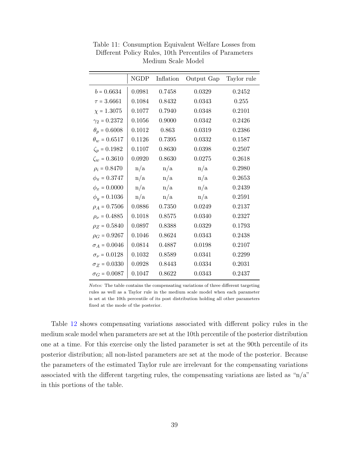|                         | <b>NGDP</b> | Inflation | Output Gap | Taylor rule |
|-------------------------|-------------|-----------|------------|-------------|
| $b = 0.6634$            | 0.0981      | 0.7458    | 0.0329     | 0.2452      |
| $\tau = 3.6661$         | 0.1084      | 0.8432    | 0.0343     | 0.255       |
| $\chi = 1.3075$         | 0.1077      | 0.7940    | 0.0348     | 0.2101      |
| $\gamma_2 = 0.2372$     | 0.1056      | 0.9000    | 0.0342     | 0.2426      |
| $\theta_p = 0.6008$     | 0.1012      | 0.863     | 0.0319     | 0.2386      |
| $\theta_w = 0.6517$     | 0.1126      | 0.7395    | 0.0332     | 0.1587      |
| $\zeta_p = 0.1982$      | 0.1107      | 0.8630    | 0.0398     | 0.2507      |
| $\zeta_w = 0.3610$      | 0.0920      | 0.8630    | 0.0275     | 0.2618      |
| $\rho_i = 0.8470$       | n/a         | n/a       | n/a        | 0.2980      |
| $\phi_{\pi} = 0.3747$   | n/a         | n/a       | n/a        | 0.2653      |
| $\phi_x = 0.0000$       | n/a         | n/a       | n/a        | 0.2439      |
| $\phi_y = 0.1036$       | n/a         | n/a       | n/a        | 0.2591      |
| $\rho_A = 0.7506$       | 0.0886      | 0.7350    | 0.0249     | 0.2137      |
| $\rho_{\nu} = 0.4885$   | 0.1018      | 0.8575    | 0.0340     | 0.2327      |
| $\rho_Z = 0.5840$       | 0.0897      | 0.8388    | 0.0329     | 0.1793      |
| $\rho_G = 0.9267$       | 0.1046      | 0.8624    | 0.0343     | 0.2438      |
| $\sigma_A=0.0046$       | 0.0814      | 0.4887    | 0.0198     | 0.2107      |
| $\sigma_{\nu} = 0.0128$ | 0.1032      | 0.8589    | 0.0341     | 0.2299      |
| $\sigma_Z = 0.0330$     | 0.0928      | 0.8443    | 0.0334     | 0.2031      |
| $\sigma_G = 0.0087$     | 0.1047      | 0.8622    | 0.0343     | 0.2437      |

<span id="page-40-0"></span>Table 11: Consumption Equivalent Welfare Losses from Different Policy Rules, 10th Percentiles of Parameters Medium Scale Model

Notes: The table contains the compensating variations of three different targeting rules as well as a Taylor rule in the medium scale model when each parameter is set at the 10th percentile of its post distribution holding all other parameters fixed at the mode of the posterior.

Table [12](#page-41-0) shows compensating variations associated with different policy rules in the medium scale model when parameters are set at the 10th percentile of the posterior distribution one at a time. For this exercise only the listed parameter is set at the 90th percentile of its posterior distribution; all non-listed parameters are set at the mode of the posterior. Because the parameters of the estimated Taylor rule are irrelevant for the compensating variations associated with the different targeting rules, the compensating variations are listed as " $n/a$ " in this portions of the table.